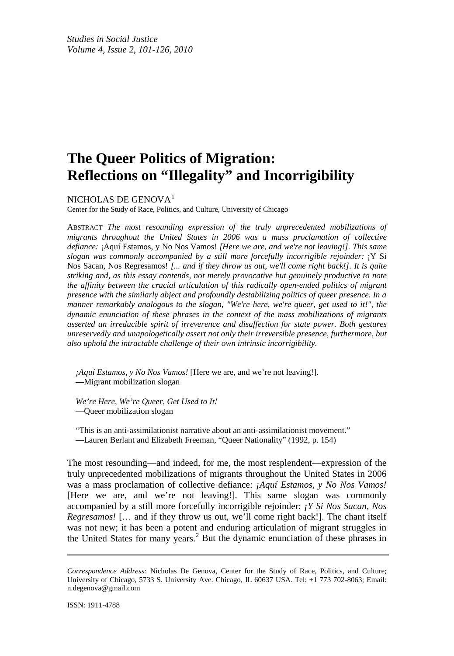# **The Queer Politics of Migration: Reflections on "Illegality" and Incorrigibility**

NICHOLAS DE GENOVA<sup>[1](#page-19-0)</sup>

Center for the Study of Race, Politics, and Culture, University of Chicago

ABSTRACT *The most resounding expression of the truly unprecedented mobilizations of migrants throughout the United States in 2006 was a mass proclamation of collective defiance:* ¡Aquí Estamos, y No Nos Vamos! *[Here we are, and we're not leaving!]. This same slogan was commonly accompanied by a still more forcefully incorrigible rejoinder:* ¡Y Si Nos Sacan, Nos Regresamos! *[... and if they throw us out, we'll come right back!]. It is quite striking and, as this essay contends, not merely provocative but genuinely productive to note the affinity between the crucial articulation of this radically open-ended politics of migrant presence with the similarly abject and profoundly destabilizing politics of queer presence. In a manner remarkably analogous to the slogan, "We're here, we're queer, get used to it!", the dynamic enunciation of these phrases in the context of the mass mobilizations of migrants asserted an irreducible spirit of irreverence and disaffection for state power. Both gestures unreservedly and unapologetically assert not only their irreversible presence, furthermore, but also uphold the intractable challenge of their own intrinsic incorrigibility.*

*¡Aquí Estamos, y No Nos Vamos!* [Here we are, and we're not leaving!]. —Migrant mobilization slogan

*We're Here, We're Queer, Get Used to It!* —Queer mobilization slogan

"This is an anti-assimilationist narrative about an anti-assimilationist movement." —Lauren Berlant and Elizabeth Freeman, "Queer Nationality" (1992, p. 154)

The most resounding—and indeed, for me, the most resplendent—expression of the truly unprecedented mobilizations of migrants throughout the United States in 2006 was a mass proclamation of collective defiance: *¡Aquí Estamos, y No Nos Vamos!* [Here we are, and we're not leaving!]. This same slogan was commonly accompanied by a still more forcefully incorrigible rejoinder: *¡Y Si Nos Sacan, Nos Regresamos!* [… and if they throw us out, we'll come right back!]. The chant itself was not new; it has been a potent and enduring articulation of migrant struggles in the United States for many years. [2](#page-20-0) But the dynamic enunciation of these phrases in

*Correspondence Address:* Nicholas De Genova, Center for the Study of Race, Politics, and Culture; University of Chicago, 5733 S. University Ave. Chicago, IL 60637 USA. Tel: +1 773 702-8063; Email: n.degenova@gmail.com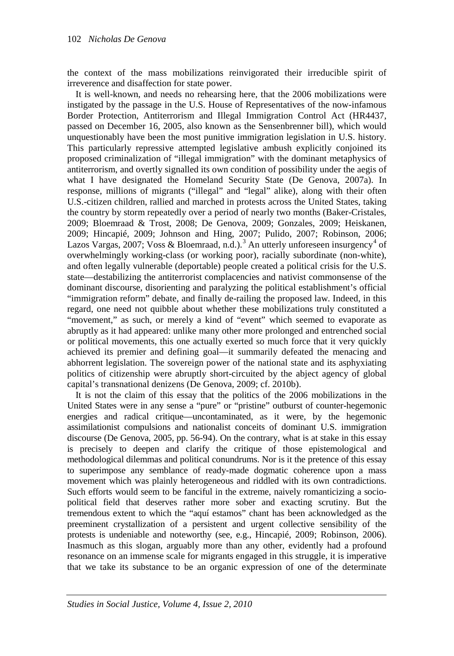the context of the mass mobilizations reinvigorated their irreducible spirit of irreverence and disaffection for state power.

It is well-known, and needs no rehearsing here, that the 2006 mobilizations were instigated by the passage in the U.S. House of Representatives of the now-infamous Border Protection, Antiterrorism and Illegal Immigration Control Act (HR4437, passed on December 16, 2005, also known as the Sensenbrenner bill), which would unquestionably have been the most punitive immigration legislation in U.S. history. This particularly repressive attempted legislative ambush explicitly conjoined its proposed criminalization of "illegal immigration" with the dominant metaphysics of antiterrorism, and overtly signalled its own condition of possibility under the aegis of what I have designated the Homeland Security State (De Genova, 2007a). In response, millions of migrants ("illegal" and "legal" alike), along with their often U.S.-citizen children, rallied and marched in protests across the United States, taking the country by storm repeatedly over a period of nearly two months (Baker-Cristales, 2009; Bloemraad & Trost, 2008; De Genova, 2009; Gonzales, 2009; Heiskanen, 2009; Hincapié, 2009; Johnson and Hing, 2007; Pulido, 2007; Robinson, 2006; Lazos Vargas, 2007; Voss & Bloemraad, n.d.).<sup>[3](#page-20-1)</sup> An utterly unforeseen insurgency<sup>[4](#page-20-2)</sup> of overwhelmingly working-class (or working poor), racially subordinate (non-white), and often legally vulnerable (deportable) people created a political crisis for the U.S. state—destabilizing the antiterrorist complacencies and nativist commonsense of the dominant discourse, disorienting and paralyzing the political establishment's official "immigration reform" debate, and finally de-railing the proposed law. Indeed, in this regard, one need not quibble about whether these mobilizations truly constituted a "movement," as such, or merely a kind of "event" which seemed to evaporate as abruptly as it had appeared: unlike many other more prolonged and entrenched social or political movements, this one actually exerted so much force that it very quickly achieved its premier and defining goal—it summarily defeated the menacing and abhorrent legislation. The sovereign power of the national state and its asphyxiating politics of citizenship were abruptly short-circuited by the abject agency of global capital's transnational denizens (De Genova, 2009; cf. 2010b).

It is not the claim of this essay that the politics of the 2006 mobilizations in the United States were in any sense a "pure" or "pristine" outburst of counter-hegemonic energies and radical critique—uncontaminated, as it were, by the hegemonic assimilationist compulsions and nationalist conceits of dominant U.S. immigration discourse (De Genova, 2005, pp. 56-94). On the contrary, what is at stake in this essay is precisely to deepen and clarify the critique of those epistemological and methodological dilemmas and political conundrums. Nor is it the pretence of this essay to superimpose any semblance of ready-made dogmatic coherence upon a mass movement which was plainly heterogeneous and riddled with its own contradictions. Such efforts would seem to be fanciful in the extreme, naively romanticizing a sociopolitical field that deserves rather more sober and exacting scrutiny. But the tremendous extent to which the "aquí estamos" chant has been acknowledged as the preeminent crystallization of a persistent and urgent collective sensibility of the protests is undeniable and noteworthy (see, e.g., Hincapié, 2009; Robinson, 2006). Inasmuch as this slogan, arguably more than any other, evidently had a profound resonance on an immense scale for migrants engaged in this struggle, it is imperative that we take its substance to be an organic expression of one of the determinate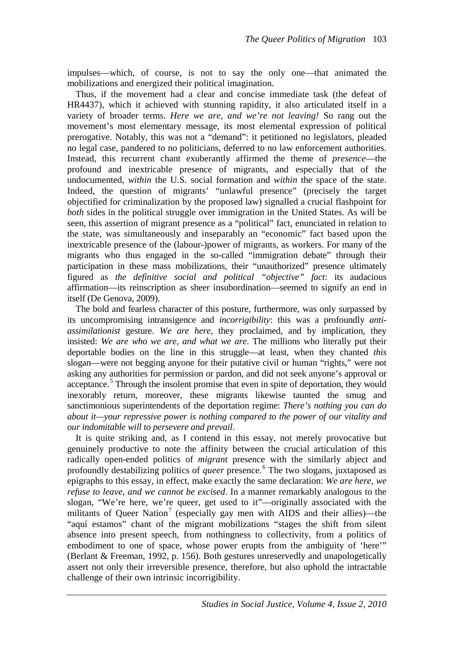impulses—which, of course, is not to say the only one—that animated the mobilizations and energized their political imagination.

Thus, if the movement had a clear and concise immediate task (the defeat of HR4437), which it achieved with stunning rapidity, it also articulated itself in a variety of broader terms. *Here we are, and we're not leaving!* So rang out the movement's most elementary message, its most elemental expression of political prerogative. Notably, this was not a "demand": it petitioned no legislators, pleaded no legal case, pandered to no politicians, deferred to no law enforcement authorities. Instead, this recurrent chant exuberantly affirmed the theme of *presence*—the profound and inextricable presence of migrants, and especially that of the undocumented, *within* the U.S. social formation and *within* the space of the state. Indeed, the question of migrants' "unlawful presence" (precisely the target objectified for criminalization by the proposed law) signalled a crucial flashpoint for *both* sides in the political struggle over immigration in the United States. As will be seen, this assertion of migrant presence as a "political" fact, enunciated in relation to the state, was simultaneously and inseparably an "economic" fact based upon the inextricable presence of the (labour-)power of migrants, as workers. For many of the migrants who thus engaged in the so-called "immigration debate" through their participation in these mass mobilizations, their "unauthorized" presence ultimately figured as *the definitive social and political "objective" fact*: its audacious affirmation—its reinscription as sheer insubordination—seemed to signify an end in itself (De Genova, 2009).

The bold and fearless character of this posture, furthermore, was only surpassed by its uncompromising intransigence and *incorrigibility*: this was a profoundly *antiassimilationist* gesture. *We are here*, they proclaimed, and by implication, they insisted: *We are who we are, and what we are*. The millions who literally put their deportable bodies on the line in this struggle—at least, when they chanted *this* slogan—were not begging anyone for their putative civil or human "rights," were not asking any authorities for permission or pardon, and did not seek anyone's approval or acceptance.<sup>[5](#page-20-3)</sup> Through the insolent promise that even in spite of deportation, they would inexorably return, moreover, these migrants likewise taunted the smug and sanctimonious superintendents of the deportation regime: *There's nothing you can do about it—your repressive power is nothing compared to the power of our vitality and our indomitable will to persevere and prevail*.

It is quite striking and, as I contend in this essay, not merely provocative but genuinely productive to note the affinity between the crucial articulation of this radically open-ended politics of *migrant* presence with the similarly abject and profoundly destabilizing politics of *queer* presence. [6](#page-20-4) The two slogans, juxtaposed as epigraphs to this essay, in effect, make exactly the same declaration: *We are here, we refuse to leave, and we cannot be excised*. In a manner remarkably analogous to the slogan, "We're here, we're queer, get used to it"—originally associated with the militants of Queer Nation<sup>[7](#page-20-5)</sup> (especially gay men with AIDS and their allies)—the "aquí estamos" chant of the migrant mobilizations "stages the shift from silent absence into present speech, from nothingness to collectivity, from a politics of embodiment to one of space, whose power erupts from the ambiguity of 'here'" (Berlant & Freeman, 1992, p. 156). Both gestures unreservedly and unapologetically assert not only their irreversible presence, therefore, but also uphold the intractable challenge of their own intrinsic incorrigibility.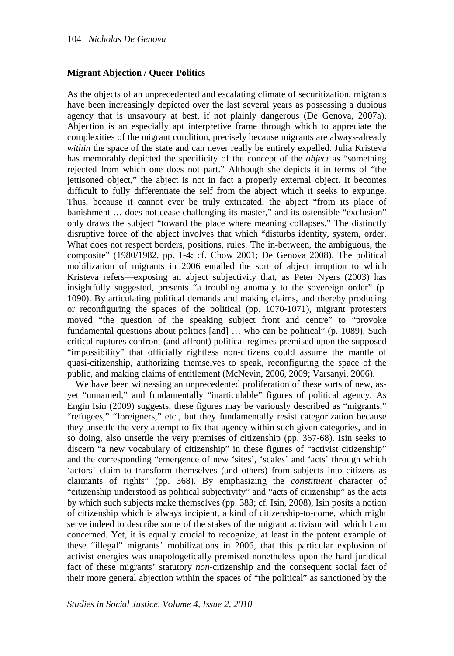# **Migrant Abjection / Queer Politics**

As the objects of an unprecedented and escalating climate of securitization, migrants have been increasingly depicted over the last several years as possessing a dubious agency that is unsavoury at best, if not plainly dangerous (De Genova, 2007a). Abjection is an especially apt interpretive frame through which to appreciate the complexities of the migrant condition, precisely because migrants are always-already *within* the space of the state and can never really be entirely expelled. Julia Kristeva has memorably depicted the specificity of the concept of the *abject* as "something rejected from which one does not part." Although she depicts it in terms of "the jettisoned object," the abject is not in fact a properly external object. It becomes difficult to fully differentiate the self from the abject which it seeks to expunge. Thus, because it cannot ever be truly extricated, the abject "from its place of banishment … does not cease challenging its master," and its ostensible "exclusion" only draws the subject "toward the place where meaning collapses." The distinctly disruptive force of the abject involves that which "disturbs identity, system, order. What does not respect borders, positions, rules. The in-between, the ambiguous, the composite" (1980/1982, pp. 1-4; cf. Chow 2001; De Genova 2008). The political mobilization of migrants in 2006 entailed the sort of abject irruption to which Kristeva refers—exposing an abject subjectivity that, as Peter Nyers (2003) has insightfully suggested, presents "a troubling anomaly to the sovereign order" (p. 1090). By articulating political demands and making claims, and thereby producing or reconfiguring the spaces of the political (pp. 1070-1071), migrant protesters moved "the question of the speaking subject front and centre" to "provoke fundamental questions about politics [and] … who can be political" (p. 1089). Such critical ruptures confront (and affront) political regimes premised upon the supposed "impossibility" that officially rightless non-citizens could assume the mantle of quasi-citizenship, authorizing themselves to speak, reconfiguring the space of the public, and making claims of entitlement (McNevin, 2006, 2009; Varsanyi, 2006).

We have been witnessing an unprecedented proliferation of these sorts of new, asyet "unnamed," and fundamentally "inarticulable" figures of political agency. As Engin Isin (2009) suggests, these figures may be variously described as "migrants," "refugees," "foreigners," etc., but they fundamentally resist categorization because they unsettle the very attempt to fix that agency within such given categories, and in so doing, also unsettle the very premises of citizenship (pp. 367-68). Isin seeks to discern "a new vocabulary of citizenship" in these figures of "activist citizenship" and the corresponding "emergence of new 'sites', 'scales' and 'acts' through which 'actors' claim to transform themselves (and others) from subjects into citizens as claimants of rights" (pp. 368). By emphasizing the *constituent* character of "citizenship understood as political subjectivity" and "acts of citizenship" as the acts by which such subjects make themselves (pp. 383; cf. Isin, 2008), Isin posits a notion of citizenship which is always incipient, a kind of citizenship-to-come, which might serve indeed to describe some of the stakes of the migrant activism with which I am concerned. Yet, it is equally crucial to recognize, at least in the potent example of these "illegal" migrants' mobilizations in 2006, that this particular explosion of activist energies was unapologetically premised nonetheless upon the hard juridical fact of these migrants' statutory *non*-citizenship and the consequent social fact of their more general abjection within the spaces of "the political" as sanctioned by the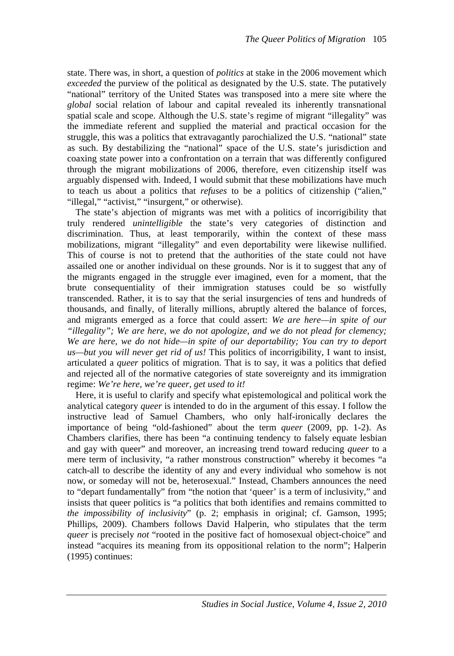state. There was, in short, a question of *politics* at stake in the 2006 movement which *exceeded* the purview of the political as designated by the U.S. state. The putatively "national" territory of the United States was transposed into a mere site where the *global* social relation of labour and capital revealed its inherently transnational spatial scale and scope. Although the U.S. state's regime of migrant "illegality" was the immediate referent and supplied the material and practical occasion for the struggle, this was a politics that extravagantly parochialized the U.S. "national" state as such. By destabilizing the "national" space of the U.S. state's jurisdiction and coaxing state power into a confrontation on a terrain that was differently configured through the migrant mobilizations of 2006, therefore, even citizenship itself was arguably dispensed with. Indeed, I would submit that these mobilizations have much to teach us about a politics that *refuses* to be a politics of citizenship ("alien," "illegal," "activist," "insurgent," or otherwise).

The state's abjection of migrants was met with a politics of incorrigibility that truly rendered *unintelligible* the state's very categories of distinction and discrimination. Thus, at least temporarily, within the context of these mass mobilizations, migrant "illegality" and even deportability were likewise nullified. This of course is not to pretend that the authorities of the state could not have assailed one or another individual on these grounds. Nor is it to suggest that any of the migrants engaged in the struggle ever imagined, even for a moment, that the brute consequentiality of their immigration statuses could be so wistfully transcended. Rather, it is to say that the serial insurgencies of tens and hundreds of thousands, and finally, of literally millions, abruptly altered the balance of forces, and migrants emerged as a force that could assert: *We are here—in spite of our "illegality"; We are here, we do not apologize, and we do not plead for clemency; We are here, we do not hide—in spite of our deportability; You can try to deport us—but you will never get rid of us!* This politics of incorrigibility, I want to insist, articulated a *queer* politics of migration. That is to say, it was a politics that defied and rejected all of the normative categories of state sovereignty and its immigration regime: *We're here, we're queer, get used to it!*

Here, it is useful to clarify and specify what epistemological and political work the analytical category *queer* is intended to do in the argument of this essay. I follow the instructive lead of Samuel Chambers, who only half-ironically declares the importance of being "old-fashioned" about the term *queer* (2009, pp. 1-2). As Chambers clarifies, there has been "a continuing tendency to falsely equate lesbian and gay with queer" and moreover, an increasing trend toward reducing *queer* to a mere term of inclusivity, "a rather monstrous construction" whereby it becomes "a catch-all to describe the identity of any and every individual who somehow is not now, or someday will not be, heterosexual." Instead, Chambers announces the need to "depart fundamentally" from "the notion that 'queer' is a term of inclusivity," and insists that queer politics is "a politics that both identifies and remains committed to *the impossibility of inclusivity*" (p. 2; emphasis in original; cf. Gamson, 1995; Phillips, 2009). Chambers follows David Halperin, who stipulates that the term *queer* is precisely *not* "rooted in the positive fact of homosexual object-choice" and instead "acquires its meaning from its oppositional relation to the norm"; Halperin (1995) continues: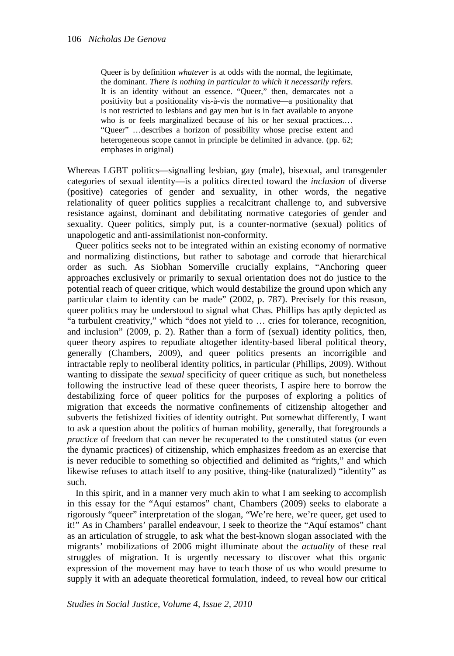Queer is by definition *whatever* is at odds with the normal, the legitimate, the dominant. *There is nothing in particular to which it necessarily refers*. It is an identity without an essence. "Queer," then, demarcates not a positivity but a positionality vis-à-vis the normative—a positionality that is not restricted to lesbians and gay men but is in fact available to anyone who is or feels marginalized because of his or her sexual practices.… "Queer" …describes a horizon of possibility whose precise extent and heterogeneous scope cannot in principle be delimited in advance. (pp. 62; emphases in original)

Whereas LGBT politics—signalling lesbian, gay (male), bisexual, and transgender categories of sexual identity—is a politics directed toward the *inclusion* of diverse (positive) categories of gender and sexuality, in other words, the negative relationality of queer politics supplies a recalcitrant challenge to, and subversive resistance against, dominant and debilitating normative categories of gender and sexuality. Queer politics, simply put, is a counter-normative (sexual) politics of unapologetic and anti-assimilationist non-conformity.

Queer politics seeks not to be integrated within an existing economy of normative and normalizing distinctions, but rather to sabotage and corrode that hierarchical order as such. As Siobhan Somerville crucially explains, "Anchoring queer approaches exclusively or primarily to sexual orientation does not do justice to the potential reach of queer critique, which would destabilize the ground upon which any particular claim to identity can be made" (2002, p. 787). Precisely for this reason, queer politics may be understood to signal what Chas. Phillips has aptly depicted as "a turbulent creativity," which "does not yield to … cries for tolerance, recognition, and inclusion" (2009, p. 2). Rather than a form of (sexual) identity politics, then, queer theory aspires to repudiate altogether identity-based liberal political theory, generally (Chambers, 2009), and queer politics presents an incorrigible and intractable reply to neoliberal identity politics, in particular (Phillips, 2009). Without wanting to dissipate the *sexual* specificity of queer critique as such, but nonetheless following the instructive lead of these queer theorists, I aspire here to borrow the destabilizing force of queer politics for the purposes of exploring a politics of migration that exceeds the normative confinements of citizenship altogether and subverts the fetishized fixities of identity outright. Put somewhat differently, I want to ask a question about the politics of human mobility, generally, that foregrounds a *practice* of freedom that can never be recuperated to the constituted status (or even the dynamic practices) of citizenship, which emphasizes freedom as an exercise that is never reducible to something so objectified and delimited as "rights," and which likewise refuses to attach itself to any positive, thing-like (naturalized) "identity" as such.

In this spirit, and in a manner very much akin to what I am seeking to accomplish in this essay for the "Aquí estamos" chant, Chambers (2009) seeks to elaborate a rigorously "queer" interpretation of the slogan, "We're here, we're queer, get used to it!" As in Chambers' parallel endeavour, I seek to theorize the "Aquí estamos" chant as an articulation of struggle, to ask what the best-known slogan associated with the migrants' mobilizations of 2006 might illuminate about the *actuality* of these real struggles of migration. It is urgently necessary to discover what this organic expression of the movement may have to teach those of us who would presume to supply it with an adequate theoretical formulation, indeed, to reveal how our critical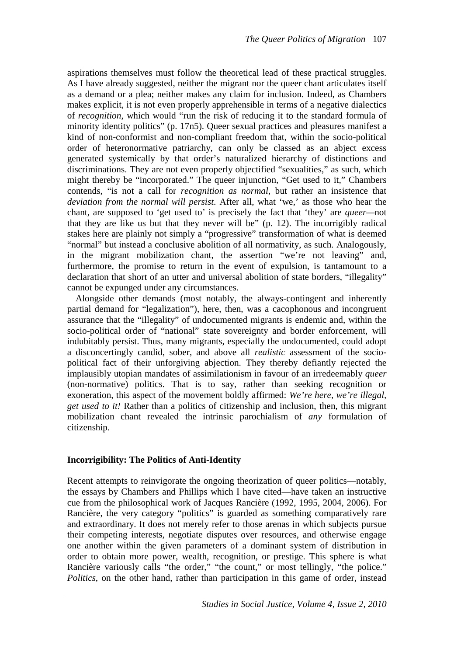aspirations themselves must follow the theoretical lead of these practical struggles. As I have already suggested, neither the migrant nor the queer chant articulates itself as a demand or a plea; neither makes any claim for inclusion. Indeed, as Chambers makes explicit, it is not even properly apprehensible in terms of a negative dialectics of *recognition*, which would "run the risk of reducing it to the standard formula of minority identity politics" (p. 17n5). Queer sexual practices and pleasures manifest a kind of non-conformist and non-compliant freedom that, within the socio-political order of heteronormative patriarchy, can only be classed as an abject excess generated systemically by that order's naturalized hierarchy of distinctions and discriminations. They are not even properly objectified "sexualities," as such, which might thereby be "incorporated." The queer injunction, "Get used to it," Chambers contends, "is not a call for *recognition as normal*, but rather an insistence that *deviation from the normal will persist*. After all, what 'we,' as those who hear the chant, are supposed to 'get used to' is precisely the fact that 'they' are *queer—*not that they are like us but that they never will be" (p. 12). The incorrigibly radical stakes here are plainly not simply a "progressive" transformation of what is deemed "normal" but instead a conclusive abolition of all normativity, as such. Analogously, in the migrant mobilization chant, the assertion "we're not leaving" and, furthermore, the promise to return in the event of expulsion, is tantamount to a declaration that short of an utter and universal abolition of state borders, "illegality" cannot be expunged under any circumstances.

Alongside other demands (most notably, the always-contingent and inherently partial demand for "legalization"), here, then, was a cacophonous and incongruent assurance that the "illegality" of undocumented migrants is endemic and, within the socio-political order of "national" state sovereignty and border enforcement, will indubitably persist. Thus, many migrants, especially the undocumented, could adopt a disconcertingly candid, sober, and above all *realistic* assessment of the sociopolitical fact of their unforgiving abjection. They thereby defiantly rejected the implausibly utopian mandates of assimilationism in favour of an irredeemably *queer* (non-normative) politics. That is to say, rather than seeking recognition or exoneration, this aspect of the movement boldly affirmed: *We're here, we're illegal, get used to it!* Rather than a politics of citizenship and inclusion, then, this migrant mobilization chant revealed the intrinsic parochialism of *any* formulation of citizenship.

#### **Incorrigibility: The Politics of Anti-Identity**

Recent attempts to reinvigorate the ongoing theorization of queer politics—notably, the essays by Chambers and Phillips which I have cited—have taken an instructive cue from the philosophical work of Jacques Rancière (1992, 1995, 2004, 2006). For Rancière, the very category "politics" is guarded as something comparatively rare and extraordinary. It does not merely refer to those arenas in which subjects pursue their competing interests, negotiate disputes over resources, and otherwise engage one another within the given parameters of a dominant system of distribution in order to obtain more power, wealth, recognition, or prestige. This sphere is what Rancière variously calls "the order," "the count," or most tellingly, "the police." *Politics*, on the other hand, rather than participation in this game of order, instead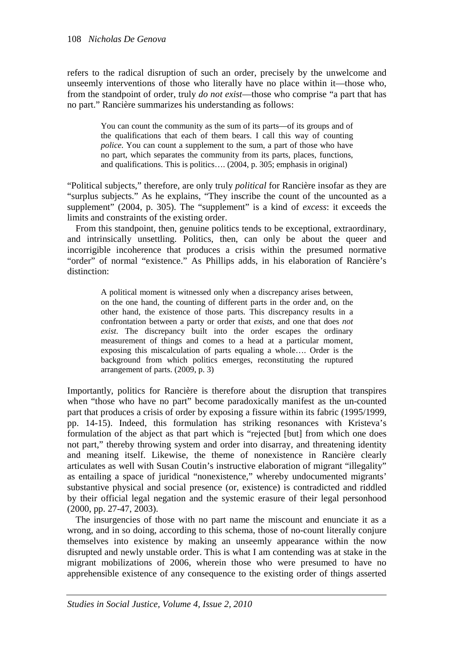refers to the radical disruption of such an order, precisely by the unwelcome and unseemly interventions of those who literally have no place within it—those who, from the standpoint of order, truly *do not exist*—those who comprise "a part that has no part." Rancière summarizes his understanding as follows:

> You can count the community as the sum of its parts—of its groups and of the qualifications that each of them bears. I call this way of counting *police*. You can count a supplement to the sum, a part of those who have no part, which separates the community from its parts, places, functions, and qualifications. This is politics…. (2004, p. 305; emphasis in original)

"Political subjects," therefore, are only truly *political* for Rancière insofar as they are "surplus subjects." As he explains, "They inscribe the count of the uncounted as a supplement" (2004, p. 305). The "supplement" is a kind of *excess*: it exceeds the limits and constraints of the existing order.

From this standpoint, then, genuine politics tends to be exceptional, extraordinary, and intrinsically unsettling. Politics, then, can only be about the queer and incorrigible incoherence that produces a crisis within the presumed normative "order" of normal "existence." As Phillips adds, in his elaboration of Rancière's distinction:

> A political moment is witnessed only when a discrepancy arises between, on the one hand, the counting of different parts in the order and, on the other hand, the existence of those parts. This discrepancy results in a confrontation between a party or order that *exists*, and one that does *not exist*. The discrepancy built into the order escapes the ordinary measurement of things and comes to a head at a particular moment, exposing this miscalculation of parts equaling a whole…. Order is the background from which politics emerges, reconstituting the ruptured arrangement of parts. (2009, p. 3)

Importantly, politics for Rancière is therefore about the disruption that transpires when "those who have no part" become paradoxically manifest as the un-counted part that produces a crisis of order by exposing a fissure within its fabric (1995/1999, pp. 14-15). Indeed, this formulation has striking resonances with Kristeva's formulation of the abject as that part which is "rejected [but] from which one does not part," thereby throwing system and order into disarray, and threatening identity and meaning itself. Likewise, the theme of nonexistence in Rancière clearly articulates as well with Susan Coutin's instructive elaboration of migrant "illegality" as entailing a space of juridical "nonexistence," whereby undocumented migrants' substantive physical and social presence (or, existence) is contradicted and riddled by their official legal negation and the systemic erasure of their legal personhood (2000, pp. 27-47, 2003).

The insurgencies of those with no part name the miscount and enunciate it as a wrong, and in so doing, according to this schema, those of no-count literally conjure themselves into existence by making an unseemly appearance within the now disrupted and newly unstable order. This is what I am contending was at stake in the migrant mobilizations of 2006, wherein those who were presumed to have no apprehensible existence of any consequence to the existing order of things asserted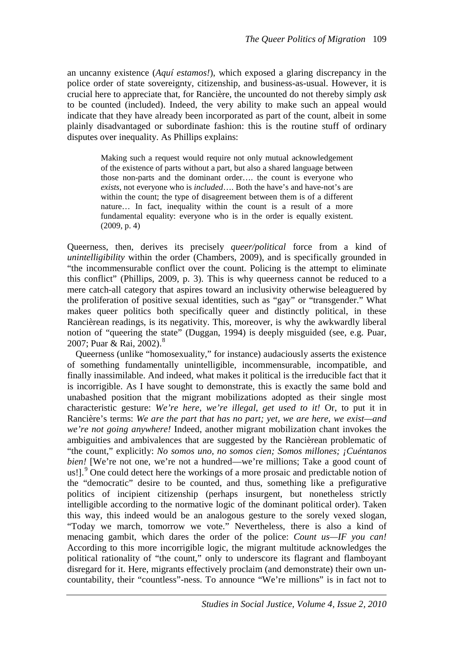an uncanny existence (*Aquí estamos!*), which exposed a glaring discrepancy in the police order of state sovereignty, citizenship, and business-as-usual. However, it is crucial here to appreciate that, for Rancière, the uncounted do not thereby simply *ask*  to be counted (included). Indeed, the very ability to make such an appeal would indicate that they have already been incorporated as part of the count, albeit in some plainly disadvantaged or subordinate fashion: this is the routine stuff of ordinary disputes over inequality. As Phillips explains:

> Making such a request would require not only mutual acknowledgement of the existence of parts without a part, but also a shared language between those non-parts and the dominant order…. the count is everyone who *exists*, not everyone who is *included*…. Both the have's and have-not's are within the count; the type of disagreement between them is of a different nature… In fact, inequality within the count is a result of a more fundamental equality: everyone who is in the order is equally existent. (2009, p. 4)

Queerness, then, derives its precisely *queer/political* force from a kind of *unintelligibility* within the order (Chambers, 2009), and is specifically grounded in "the incommensurable conflict over the count. Policing is the attempt to eliminate this conflict" (Phillips, 2009, p. 3). This is why queerness cannot be reduced to a mere catch-all category that aspires toward an inclusivity otherwise beleaguered by the proliferation of positive sexual identities, such as "gay" or "transgender." What makes queer politics both specifically queer and distinctly political, in these Rancièrean readings, is its negativity. This, moreover, is why the awkwardly liberal notion of "queering the state" (Duggan, 1994) is deeply misguided (see, e.g. Puar, 2007; Puar & Rai, 2002).<sup>[8](#page-21-0)</sup>

Queerness (unlike "homosexuality," for instance) audaciously asserts the existence of something fundamentally unintelligible, incommensurable, incompatible, and finally inassimilable. And indeed, what makes it political is the irreducible fact that it is incorrigible. As I have sought to demonstrate, this is exactly the same bold and unabashed position that the migrant mobilizations adopted as their single most characteristic gesture: *We're here, we're illegal, get used to it!* Or, to put it in Rancière's terms: *We are the part that has no part; yet, we are here, we exist—and we're not going anywhere!* Indeed, another migrant mobilization chant invokes the ambiguities and ambivalences that are suggested by the Rancièrean problematic of "the count," explicitly: *No somos uno, no somos cien; Somos millones; ¡Cuéntanos bien!* [We're not one, we're not a hundred—we're millions; Take a good count of us!].<sup>[9](#page-21-1)</sup> One could detect here the workings of a more prosaic and predictable notion of the "democratic" desire to be counted, and thus, something like a prefigurative politics of incipient citizenship (perhaps insurgent, but nonetheless strictly intelligible according to the normative logic of the dominant political order). Taken this way, this indeed would be an analogous gesture to the sorely vexed slogan, "Today we march, tomorrow we vote." Nevertheless, there is also a kind of menacing gambit, which dares the order of the police: *Count us—IF you can!*  According to this more incorrigible logic, the migrant multitude acknowledges the political rationality of "the count," only to underscore its flagrant and flamboyant disregard for it. Here, migrants effectively proclaim (and demonstrate) their own uncountability, their "countless"-ness. To announce "We're millions" is in fact not to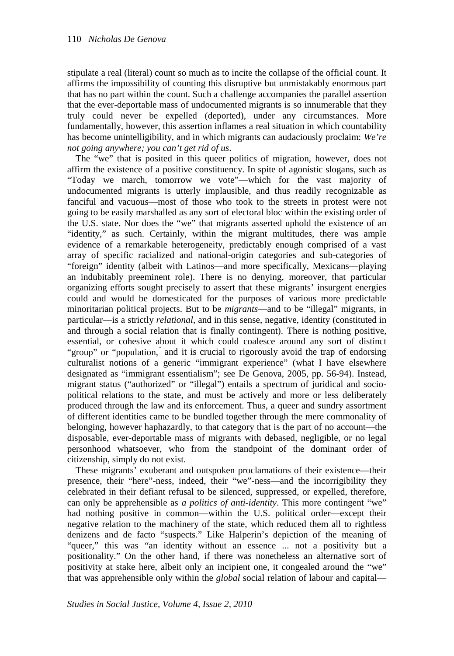stipulate a real (literal) count so much as to incite the collapse of the official count. It affirms the impossibility of counting this disruptive but unmistakably enormous part that has no part within the count. Such a challenge accompanies the parallel assertion that the ever-deportable mass of undocumented migrants is so innumerable that they truly could never be expelled (deported), under any circumstances. More fundamentally, however, this assertion inflames a real situation in which countability has become unintelligibility, and in which migrants can audaciously proclaim: *We're not going anywhere; you can't get rid of us*.

The "we" that is posited in this queer politics of migration, however, does not affirm the existence of a positive constituency. In spite of agonistic slogans, such as "Today we march, tomorrow we vote"—which for the vast majority of undocumented migrants is utterly implausible, and thus readily recognizable as fanciful and vacuous—most of those who took to the streets in protest were not going to be easily marshalled as any sort of electoral bloc within the existing order of the U.S. state. Nor does the "we" that migrants asserted uphold the existence of an "identity," as such. Certainly, within the migrant multitudes, there was ample evidence of a remarkable heterogeneity, predictably enough comprised of a vast array of specific racialized and national-origin categories and sub-categories of "foreign" identity (albeit with Latinos—and more specifically, Mexicans—playing an indubitably preeminent role). There is no denying, moreover, that particular organizing efforts sought precisely to assert that these migrants' insurgent energies could and would be domesticated for the purposes of various more predictable minoritarian political projects. But to be *migrants*—and to be "illegal" migrants, in particular—is a strictly *relational*, and in this sense, negative, identity (constituted in and through a social relation that is finally contingent). There is nothing positive, essential, or cohesive about it which could coalesce around any sort of distinct "group" or "population," and it is crucial to rigorously avoid the trap of endorsing culturalist notions of a generic "immigrant experience" (what I have elsewhere designated as "immigrant essentialism"; see De Genova, 2005, pp. 56-94). Instead, migrant status ("authorized" or "illegal") entails a spectrum of juridical and sociopolitical relations to the state, and must be actively and more or less deliberately produced through the law and its enforcement. Thus, a queer and sundry assortment of different identities came to be bundled together through the mere commonality of belonging, however haphazardly, to that category that is the part of no account—the disposable, ever-deportable mass of migrants with debased, negligible, or no legal personhood whatsoever, who from the standpoint of the dominant order of citizenship, simply do not exist.

These migrants' exuberant and outspoken proclamations of their existence—their presence, their "here"-ness, indeed, their "we"-ness—and the incorrigibility they celebrated in their defiant refusal to be silenced, suppressed, or expelled, therefore, can only be apprehensible as *a politics of anti-identity*. This more contingent "we" had nothing positive in common—within the U.S. political order—except their negative relation to the machinery of the state, which reduced them all to rightless denizens and de facto "suspects." Like Halperin's depiction of the meaning of "queer," this was "an identity without an essence ... not a positivity but a positionality." On the other hand, if there was nonetheless an alternative sort of positivity at stake here, albeit only an incipient one, it congealed around the "we" that was apprehensible only within the *global* social relation of labour and capital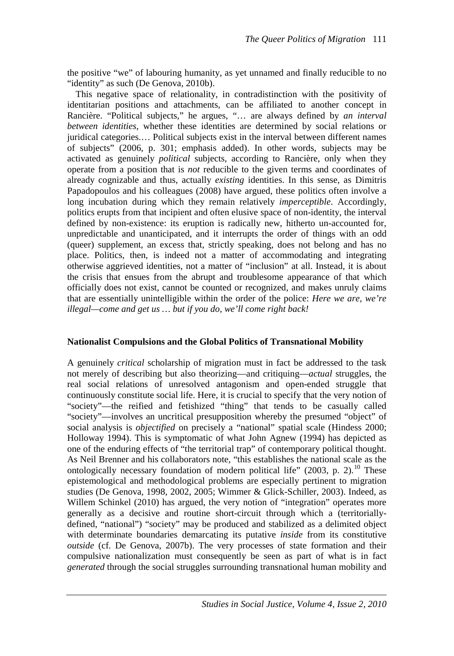the positive "we" of labouring humanity, as yet unnamed and finally reducible to no "identity" as such (De Genova, 2010b).

This negative space of relationality, in contradistinction with the positivity of identitarian positions and attachments, can be affiliated to another concept in Rancière. "Political subjects," he argues, "… are always defined by *an interval between identities*, whether these identities are determined by social relations or juridical categories.… Political subjects exist in the interval between different names of subjects" (2006, p. 301; emphasis added). In other words, subjects may be activated as genuinely *political* subjects, according to Rancière, only when they operate from a position that is *not* reducible to the given terms and coordinates of already cognizable and thus, actually *existing* identities. In this sense, as Dimitris Papadopoulos and his colleagues (2008) have argued, these politics often involve a long incubation during which they remain relatively *imperceptible*. Accordingly, politics erupts from that incipient and often elusive space of non-identity, the interval defined by non-existence: its eruption is radically new, hitherto un-accounted for, unpredictable and unanticipated, and it interrupts the order of things with an odd (queer) supplement, an excess that, strictly speaking, does not belong and has no place. Politics, then, is indeed not a matter of accommodating and integrating otherwise aggrieved identities, not a matter of "inclusion" at all. Instead, it is about the crisis that ensues from the abrupt and troublesome appearance of that which officially does not exist, cannot be counted or recognized, and makes unruly claims that are essentially unintelligible within the order of the police: *Here we are, we're illegal—come and get us … but if you do, we'll come right back!*

## **Nationalist Compulsions and the Global Politics of Transnational Mobility**

A genuinely *critical* scholarship of migration must in fact be addressed to the task not merely of describing but also theorizing—and critiquing—*actual* struggles, the real social relations of unresolved antagonism and open-ended struggle that continuously constitute social life. Here, it is crucial to specify that the very notion of "society"—the reified and fetishized "thing" that tends to be casually called "society"—involves an uncritical presupposition whereby the presumed "object" of social analysis is *objectified* on precisely a "national" spatial scale (Hindess 2000; Holloway 1994). This is symptomatic of what John Agnew (1994) has depicted as one of the enduring effects of "the territorial trap" of contemporary political thought. As Neil Brenner and his collaborators note, "this establishes the national scale as the ontologically necessary foundation of modern political life" (2003, p. 2).<sup>[10](#page-21-2)</sup> These epistemological and methodological problems are especially pertinent to migration studies (De Genova, 1998, 2002, 2005; Wimmer & Glick-Schiller, 2003). Indeed, as Willem Schinkel (2010) has argued, the very notion of "integration" operates more generally as a decisive and routine short-circuit through which a (territoriallydefined, "national") "society" may be produced and stabilized as a delimited object with determinate boundaries demarcating its putative *inside* from its constitutive *outside* (cf. De Genova, 2007b). The very processes of state formation and their compulsive nationalization must consequently be seen as part of what is in fact *generated* through the social struggles surrounding transnational human mobility and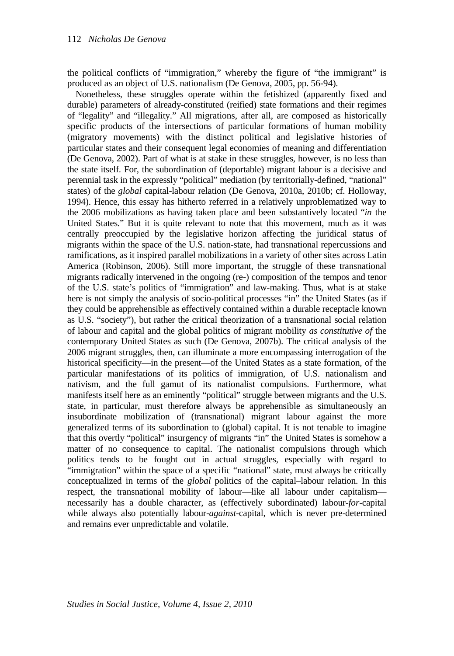the political conflicts of "immigration," whereby the figure of "the immigrant" is produced as an object of U.S. nationalism (De Genova, 2005, pp. 56-94).

Nonetheless, these struggles operate within the fetishized (apparently fixed and durable) parameters of already-constituted (reified) state formations and their regimes of "legality" and "illegality." All migrations, after all, are composed as historically specific products of the intersections of particular formations of human mobility (migratory movements) with the distinct political and legislative histories of particular states and their consequent legal economies of meaning and differentiation (De Genova, 2002). Part of what is at stake in these struggles, however, is no less than the state itself. For, the subordination of (deportable) migrant labour is a decisive and perennial task in the expressly "political" mediation (by territorially-defined, "national" states) of the *global* capital-labour relation (De Genova, 2010a, 2010b; cf. Holloway, 1994). Hence, this essay has hitherto referred in a relatively unproblematized way to the 2006 mobilizations as having taken place and been substantively located "*in* the United States." But it is quite relevant to note that this movement, much as it was centrally preoccupied by the legislative horizon affecting the juridical status of migrants within the space of the U.S. nation-state, had transnational repercussions and ramifications, as it inspired parallel mobilizations in a variety of other sites across Latin America (Robinson, 2006). Still more important, the struggle of these transnational migrants radically intervened in the ongoing (re-) composition of the tempos and tenor of the U.S. state's politics of "immigration" and law-making. Thus, what is at stake here is not simply the analysis of socio-political processes "in" the United States (as if they could be apprehensible as effectively contained within a durable receptacle known as U.S. "society"), but rather the critical theorization of a transnational social relation of labour and capital and the global politics of migrant mobility *as constitutive of* the contemporary United States as such (De Genova, 2007b). The critical analysis of the 2006 migrant struggles, then, can illuminate a more encompassing interrogation of the historical specificity—in the present—of the United States as a state formation, of the particular manifestations of its politics of immigration, of U.S. nationalism and nativism, and the full gamut of its nationalist compulsions. Furthermore, what manifests itself here as an eminently "political" struggle between migrants and the U.S. state, in particular, must therefore always be apprehensible as simultaneously an insubordinate mobilization of (transnational) migrant labour against the more generalized terms of its subordination to (global) capital. It is not tenable to imagine that this overtly "political" insurgency of migrants "in" the United States is somehow a matter of no consequence to capital. The nationalist compulsions through which politics tends to be fought out in actual struggles, especially with regard to "immigration" within the space of a specific "national" state, must always be critically conceptualized in terms of the *global* politics of the capital–labour relation. In this respect, the transnational mobility of labour—like all labour under capitalism necessarily has a double character, as (effectively subordinated) labour-*for*-capital while always also potentially labour-*against*-capital, which is never pre-determined and remains ever unpredictable and volatile.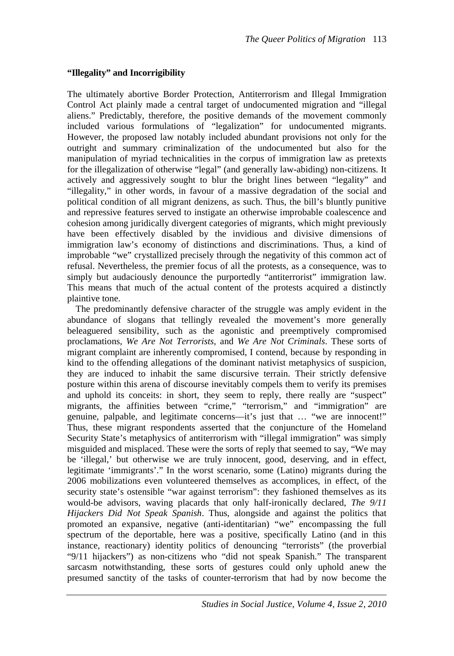# **"Illegality" and Incorrigibility**

The ultimately abortive Border Protection, Antiterrorism and Illegal Immigration Control Act plainly made a central target of undocumented migration and "illegal aliens." Predictably, therefore, the positive demands of the movement commonly included various formulations of "legalization" for undocumented migrants. However, the proposed law notably included abundant provisions not only for the outright and summary criminalization of the undocumented but also for the manipulation of myriad technicalities in the corpus of immigration law as pretexts for the illegalization of otherwise "legal" (and generally law-abiding) non-citizens. It actively and aggressively sought to blur the bright lines between "legality" and "illegality," in other words, in favour of a massive degradation of the social and political condition of all migrant denizens, as such. Thus, the bill's bluntly punitive and repressive features served to instigate an otherwise improbable coalescence and cohesion among juridically divergent categories of migrants, which might previously have been effectively disabled by the invidious and divisive dimensions of immigration law's economy of distinctions and discriminations. Thus, a kind of improbable "we" crystallized precisely through the negativity of this common act of refusal. Nevertheless, the premier focus of all the protests, as a consequence, was to simply but audaciously denounce the purportedly "antiterrorist" immigration law. This means that much of the actual content of the protests acquired a distinctly plaintive tone.

The predominantly defensive character of the struggle was amply evident in the abundance of slogans that tellingly revealed the movement's more generally beleaguered sensibility, such as the agonistic and preemptively compromised proclamations, *We Are Not Terrorists*, and *We Are Not Criminals*. These sorts of migrant complaint are inherently compromised, I contend, because by responding in kind to the offending allegations of the dominant nativist metaphysics of suspicion, they are induced to inhabit the same discursive terrain. Their strictly defensive posture within this arena of discourse inevitably compels them to verify its premises and uphold its conceits: in short, they seem to reply, there really are "suspect" migrants, the affinities between "crime," "terrorism," and "immigration" are genuine, palpable, and legitimate concerns—it's just that … "we are innocent!" Thus, these migrant respondents asserted that the conjuncture of the Homeland Security State's metaphysics of antiterrorism with "illegal immigration" was simply misguided and misplaced. These were the sorts of reply that seemed to say, "We may be 'illegal,' but otherwise we are truly innocent, good, deserving, and in effect, legitimate 'immigrants'." In the worst scenario, some (Latino) migrants during the 2006 mobilizations even volunteered themselves as accomplices, in effect, of the security state's ostensible "war against terrorism": they fashioned themselves as its would-be advisors, waving placards that only half-ironically declared, *The 9/11 Hijackers Did Not Speak Spanish*. Thus, alongside and against the politics that promoted an expansive, negative (anti-identitarian) "we" encompassing the full spectrum of the deportable, here was a positive, specifically Latino (and in this instance, reactionary) identity politics of denouncing "terrorists" (the proverbial "9/11 hijackers") as non-citizens who "did not speak Spanish." The transparent sarcasm notwithstanding, these sorts of gestures could only uphold anew the presumed sanctity of the tasks of counter-terrorism that had by now become the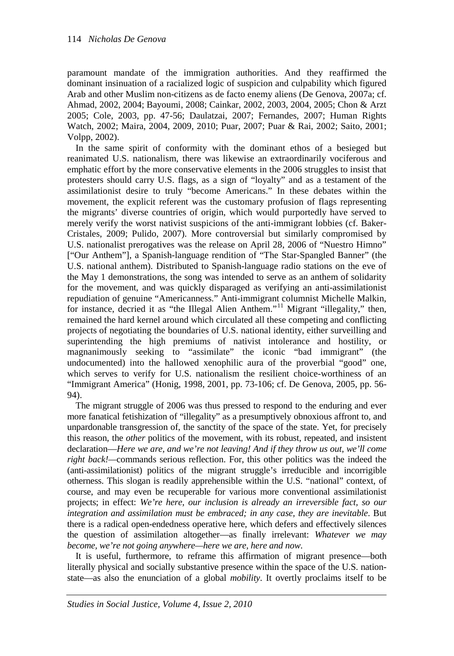paramount mandate of the immigration authorities. And they reaffirmed the dominant insinuation of a racialized logic of suspicion and culpability which figured Arab and other Muslim non-citizens as de facto enemy aliens (De Genova, 2007a; cf. Ahmad, 2002, 2004; Bayoumi, 2008; Cainkar, 2002, 2003, 2004, 2005; Chon & Arzt 2005; Cole, 2003, pp. 47-56; Daulatzai, 2007; Fernandes, 2007; Human Rights Watch, 2002; Maira, 2004, 2009, 2010; Puar, 2007; Puar & Rai, 2002; Saito, 2001; Volpp, 2002).

In the same spirit of conformity with the dominant ethos of a besieged but reanimated U.S. nationalism, there was likewise an extraordinarily vociferous and emphatic effort by the more conservative elements in the 2006 struggles to insist that protesters should carry U.S. flags, as a sign of "loyalty" and as a testament of the assimilationist desire to truly "become Americans." In these debates within the movement, the explicit referent was the customary profusion of flags representing the migrants' diverse countries of origin, which would purportedly have served to merely verify the worst nativist suspicions of the anti-immigrant lobbies (cf. Baker-Cristales, 2009; Pulido, 2007). More controversial but similarly compromised by U.S. nationalist prerogatives was the release on April 28, 2006 of "Nuestro Himno" ["Our Anthem"], a Spanish-language rendition of "The Star-Spangled Banner" (the U.S. national anthem). Distributed to Spanish-language radio stations on the eve of the May 1 demonstrations, the song was intended to serve as an anthem of solidarity for the movement, and was quickly disparaged as verifying an anti-assimilationist repudiation of genuine "Americanness." Anti-immigrant columnist Michelle Malkin, for instance, decried it as "the Illegal Alien Anthem."<sup>[11](#page-21-3)</sup> Migrant "illegality," then, remained the hard kernel around which circulated all these competing and conflicting projects of negotiating the boundaries of U.S. national identity, either surveilling and superintending the high premiums of nativist intolerance and hostility, or magnanimously seeking to "assimilate" the iconic "bad immigrant" (the undocumented) into the hallowed xenophilic aura of the proverbial "good" one, which serves to verify for U.S. nationalism the resilient choice-worthiness of an "Immigrant America" (Honig, 1998, 2001, pp. 73-106; cf. De Genova, 2005, pp. 56- 94).

The migrant struggle of 2006 was thus pressed to respond to the enduring and ever more fanatical fetishization of "illegality" as a presumptively obnoxious affront to, and unpardonable transgression of, the sanctity of the space of the state. Yet, for precisely this reason, the *other* politics of the movement, with its robust, repeated, and insistent declaration—*Here we are, and we're not leaving! And if they throw us out, we'll come right back!—*commands serious reflection. For, this other politics was the indeed the (anti-assimilationist) politics of the migrant struggle's irreducible and incorrigible otherness. This slogan is readily apprehensible within the U.S. "national" context, of course, and may even be recuperable for various more conventional assimilationist projects; in effect: *We're here, our inclusion is already an irreversible fact, so our integration and assimilation must be embraced; in any case, they are inevitable*. But there is a radical open-endedness operative here, which defers and effectively silences the question of assimilation altogether—as finally irrelevant: *Whatever we may become, we're not going anywhere—here we are, here and now*.

It is useful, furthermore, to reframe this affirmation of migrant presence—both literally physical and socially substantive presence within the space of the U.S. nationstate—as also the enunciation of a global *mobility*. It overtly proclaims itself to be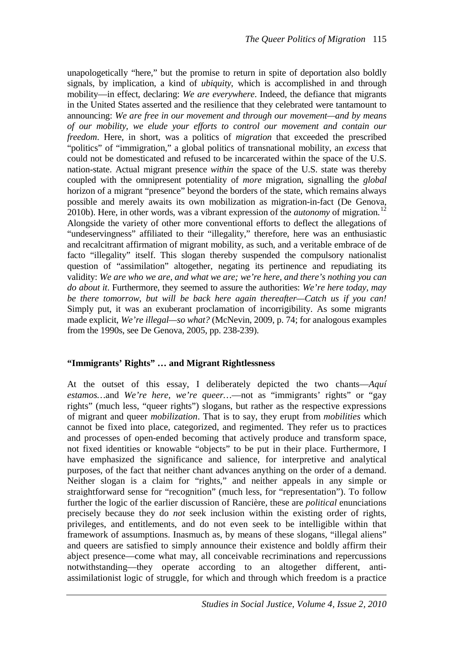unapologetically "here," but the promise to return in spite of deportation also boldly signals, by implication, a kind of *ubiquity*, which is accomplished in and through mobility—in effect, declaring: *We are everywhere*. Indeed, the defiance that migrants in the United States asserted and the resilience that they celebrated were tantamount to announcing: *We are free in our movement and through our movement—and by means of our mobility, we elude your efforts to control our movement and contain our freedom*. Here, in short, was a politics of *migration* that exceeded the prescribed "politics" of "immigration," a global politics of transnational mobility, an *excess* that could not be domesticated and refused to be incarcerated within the space of the U.S. nation-state. Actual migrant presence *within* the space of the U.S. state was thereby coupled with the omnipresent potentiality of *more* migration, signalling the *global* horizon of a migrant "presence" beyond the borders of the state, which remains always possible and merely awaits its own mobilization as migration-in-fact (De Genova, 2010b). Here, in other words, was a vibrant expression of the *autonomy* of migration.<sup>[12](#page-21-4)</sup> Alongside the variety of other more conventional efforts to deflect the allegations of "undeservingness" affiliated to their "illegality," therefore, here was an enthusiastic and recalcitrant affirmation of migrant mobility, as such, and a veritable embrace of de facto "illegality" itself. This slogan thereby suspended the compulsory nationalist question of "assimilation" altogether, negating its pertinence and repudiating its validity: *We are who we are, and what we are; we're here, and there's nothing you can do about it*. Furthermore, they seemed to assure the authorities: *We're here today, may be there tomorrow, but will be back here again thereafter—Catch us if you can!* Simply put, it was an exuberant proclamation of incorrigibility. As some migrants made explicit, *We're illegal—so what?* (McNevin, 2009, p. 74; for analogous examples from the 1990s, see De Genova, 2005, pp. 238-239).

## **"Immigrants' Rights" … and Migrant Rightlessness**

At the outset of this essay, I deliberately depicted the two chants—*Aquí*  estamos...and *We're here, we're queer...*—not as "immigrants' rights" or "gay rights" (much less, "queer rights") slogans, but rather as the respective expressions of migrant and queer *mobilization*. That is to say, they erupt from *mobilities* which cannot be fixed into place, categorized, and regimented. They refer us to practices and processes of open-ended becoming that actively produce and transform space, not fixed identities or knowable "objects" to be put in their place. Furthermore, I have emphasized the significance and salience, for interpretive and analytical purposes, of the fact that neither chant advances anything on the order of a demand. Neither slogan is a claim for "rights," and neither appeals in any simple or straightforward sense for "recognition" (much less, for "representation"). To follow further the logic of the earlier discussion of Rancière, these are *political* enunciations precisely because they do *not* seek inclusion within the existing order of rights, privileges, and entitlements, and do not even seek to be intelligible within that framework of assumptions. Inasmuch as, by means of these slogans, "illegal aliens" and queers are satisfied to simply announce their existence and boldly affirm their abject presence—come what may, all conceivable recriminations and repercussions notwithstanding—they operate according to an altogether different, antiassimilationist logic of struggle, for which and through which freedom is a practice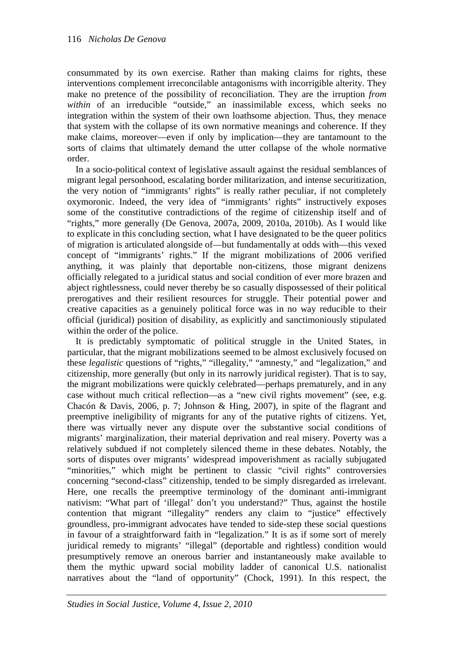consummated by its own exercise. Rather than making claims for rights, these interventions complement irreconcilable antagonisms with incorrigible alterity. They make no pretence of the possibility of reconciliation. They are the irruption *from within* of an irreducible "outside," an inassimilable excess, which seeks no integration within the system of their own loathsome abjection. Thus, they menace that system with the collapse of its own normative meanings and coherence. If they make claims, moreover—even if only by implication—they are tantamount to the sorts of claims that ultimately demand the utter collapse of the whole normative order.

In a socio-political context of legislative assault against the residual semblances of migrant legal personhood, escalating border militarization, and intense securitization, the very notion of "immigrants' rights" is really rather peculiar, if not completely oxymoronic. Indeed, the very idea of "immigrants' rights" instructively exposes some of the constitutive contradictions of the regime of citizenship itself and of "rights," more generally (De Genova, 2007a, 2009, 2010a, 2010b). As I would like to explicate in this concluding section, what I have designated to be the queer politics of migration is articulated alongside of—but fundamentally at odds with—this vexed concept of "immigrants' rights." If the migrant mobilizations of 2006 verified anything, it was plainly that deportable non-citizens, those migrant denizens officially relegated to a juridical status and social condition of ever more brazen and abject rightlessness, could never thereby be so casually dispossessed of their political prerogatives and their resilient resources for struggle. Their potential power and creative capacities as a genuinely political force was in no way reducible to their official (juridical) position of disability, as explicitly and sanctimoniously stipulated within the order of the police.

It is predictably symptomatic of political struggle in the United States, in particular, that the migrant mobilizations seemed to be almost exclusively focused on these *legalistic* questions of "rights," "illegality," "amnesty," and "legalization," and citizenship, more generally (but only in its narrowly juridical register). That is to say, the migrant mobilizations were quickly celebrated—perhaps prematurely, and in any case without much critical reflection—as a "new civil rights movement" (see, e.g. Chacón & Davis, 2006, p. 7; Johnson & Hing, 2007), in spite of the flagrant and preemptive ineligibility of migrants for any of the putative rights of citizens. Yet, there was virtually never any dispute over the substantive social conditions of migrants' marginalization, their material deprivation and real misery. Poverty was a relatively subdued if not completely silenced theme in these debates. Notably, the sorts of disputes over migrants' widespread impoverishment as racially subjugated "minorities," which might be pertinent to classic "civil rights" controversies concerning "second-class" citizenship, tended to be simply disregarded as irrelevant. Here, one recalls the preemptive terminology of the dominant anti-immigrant nativism: "What part of 'illegal' don't you understand?" Thus, against the hostile contention that migrant "illegality" renders any claim to "justice" effectively groundless, pro-immigrant advocates have tended to side-step these social questions in favour of a straightforward faith in "legalization." It is as if some sort of merely juridical remedy to migrants' "illegal" (deportable and rightless) condition would presumptively remove an onerous barrier and instantaneously make available to them the mythic upward social mobility ladder of canonical U.S. nationalist narratives about the "land of opportunity" (Chock, 1991). In this respect, the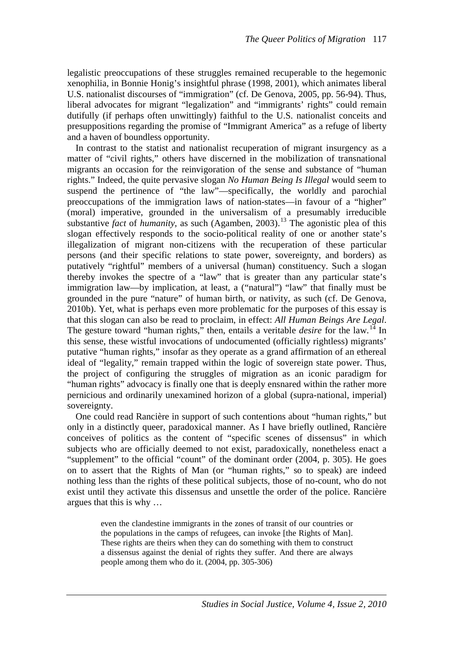legalistic preoccupations of these struggles remained recuperable to the hegemonic xenophilia, in Bonnie Honig's insightful phrase (1998, 2001), which animates liberal U.S. nationalist discourses of "immigration" (cf. De Genova, 2005, pp. 56-94). Thus, liberal advocates for migrant "legalization" and "immigrants' rights" could remain dutifully (if perhaps often unwittingly) faithful to the U.S. nationalist conceits and presuppositions regarding the promise of "Immigrant America" as a refuge of liberty and a haven of boundless opportunity.

In contrast to the statist and nationalist recuperation of migrant insurgency as a matter of "civil rights," others have discerned in the mobilization of transnational migrants an occasion for the reinvigoration of the sense and substance of "human rights." Indeed, the quite pervasive slogan *No Human Being Is Illegal* would seem to suspend the pertinence of "the law"—specifically, the worldly and parochial preoccupations of the immigration laws of nation-states—in favour of a "higher" (moral) imperative, grounded in the universalism of a presumably irreducible substantive *fact* of *humanity*, as such (Agamben, 2003).<sup>[13](#page-21-5)</sup> The agonistic plea of this slogan effectively responds to the socio-political reality of one or another state's illegalization of migrant non-citizens with the recuperation of these particular persons (and their specific relations to state power, sovereignty, and borders) as putatively "rightful" members of a universal (human) constituency. Such a slogan thereby invokes the spectre of a "law" that is greater than any particular state's immigration law—by implication, at least, a ("natural") "law" that finally must be grounded in the pure "nature" of human birth, or nativity, as such (cf. De Genova, 2010b). Yet, what is perhaps even more problematic for the purposes of this essay is that this slogan can also be read to proclaim, in effect: *All Human Beings Are Legal*. The gesture toward "human rights," then, entails a veritable *desire* for the law.<sup>[14](#page-21-6)</sup> In this sense, these wistful invocations of undocumented (officially rightless) migrants' putative "human rights," insofar as they operate as a grand affirmation of an ethereal ideal of "legality," remain trapped within the logic of sovereign state power. Thus, the project of configuring the struggles of migration as an iconic paradigm for "human rights" advocacy is finally one that is deeply ensnared within the rather more pernicious and ordinarily unexamined horizon of a global (supra-national, imperial) sovereignty.

One could read Rancière in support of such contentions about "human rights," but only in a distinctly queer, paradoxical manner. As I have briefly outlined, Rancière conceives of politics as the content of "specific scenes of dissensus" in which subjects who are officially deemed to not exist, paradoxically, nonetheless enact a "supplement" to the official "count" of the dominant order (2004, p. 305). He goes on to assert that the Rights of Man (or "human rights," so to speak) are indeed nothing less than the rights of these political subjects, those of no-count, who do not exist until they activate this dissensus and unsettle the order of the police. Rancière argues that this is why …

> even the clandestine immigrants in the zones of transit of our countries or the populations in the camps of refugees, can invoke [the Rights of Man]. These rights are theirs when they can do something with them to construct a dissensus against the denial of rights they suffer. And there are always people among them who do it. (2004, pp. 305-306)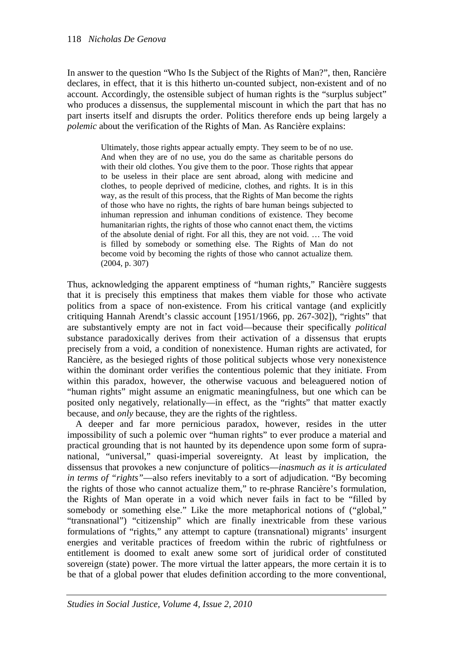In answer to the question "Who Is the Subject of the Rights of Man?", then, Rancière declares, in effect, that it is this hitherto un-counted subject, non-existent and of no account. Accordingly, the ostensible subject of human rights is the "surplus subject" who produces a dissensus, the supplemental miscount in which the part that has no part inserts itself and disrupts the order. Politics therefore ends up being largely a *polemic* about the verification of the Rights of Man. As Rancière explains:

> Ultimately, those rights appear actually empty. They seem to be of no use. And when they are of no use, you do the same as charitable persons do with their old clothes. You give them to the poor. Those rights that appear to be useless in their place are sent abroad, along with medicine and clothes, to people deprived of medicine, clothes, and rights. It is in this way, as the result of this process, that the Rights of Man become the rights of those who have no rights, the rights of bare human beings subjected to inhuman repression and inhuman conditions of existence. They become humanitarian rights, the rights of those who cannot enact them, the victims of the absolute denial of right. For all this, they are not void. … The void is filled by somebody or something else. The Rights of Man do not become void by becoming the rights of those who cannot actualize them. (2004, p. 307)

Thus, acknowledging the apparent emptiness of "human rights," Rancière suggests that it is precisely this emptiness that makes them viable for those who activate politics from a space of non-existence. From his critical vantage (and explicitly critiquing Hannah Arendt's classic account [1951/1966, pp. 267-302]), "rights" that are substantively empty are not in fact void—because their specifically *political* substance paradoxically derives from their activation of a dissensus that erupts precisely from a void, a condition of nonexistence. Human rights are activated, for Rancière, as the besieged rights of those political subjects whose very nonexistence within the dominant order verifies the contentious polemic that they initiate. From within this paradox, however, the otherwise vacuous and beleaguered notion of "human rights" might assume an enigmatic meaningfulness, but one which can be posited only negatively, relationally—in effect, as the "rights" that matter exactly because, and *only* because, they are the rights of the rightless.

A deeper and far more pernicious paradox, however, resides in the utter impossibility of such a polemic over "human rights" to ever produce a material and practical grounding that is not haunted by its dependence upon some form of supranational, "universal," quasi-imperial sovereignty. At least by implication, the dissensus that provokes a new conjuncture of politics—*inasmuch as it is articulated in terms of "rights"*—also refers inevitably to a sort of adjudication. "By becoming the rights of those who cannot actualize them," to re-phrase Rancière's formulation, the Rights of Man operate in a void which never fails in fact to be "filled by somebody or something else." Like the more metaphorical notions of ("global," "transnational") "citizenship" which are finally inextricable from these various formulations of "rights," any attempt to capture (transnational) migrants' insurgent energies and veritable practices of freedom within the rubric of rightfulness or entitlement is doomed to exalt anew some sort of juridical order of constituted sovereign (state) power. The more virtual the latter appears, the more certain it is to be that of a global power that eludes definition according to the more conventional,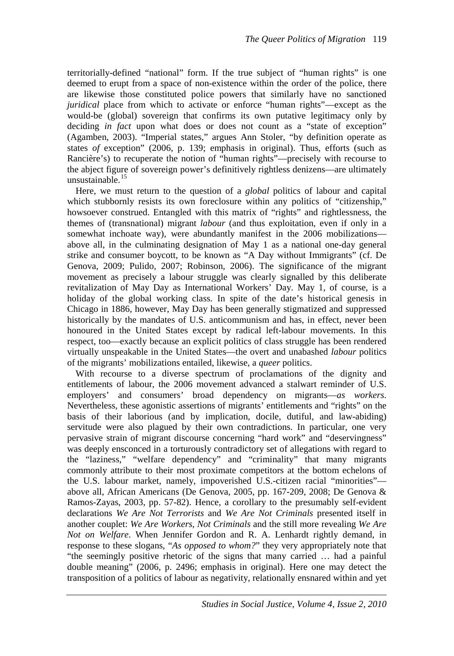territorially-defined "national" form. If the true subject of "human rights" is one deemed to erupt from a space of non-existence within the order of the police, there are likewise those constituted police powers that similarly have no sanctioned *juridical* place from which to activate or enforce "human rights"—except as the would-be (global) sovereign that confirms its own putative legitimacy only by deciding *in fact* upon what does or does not count as a "state of exception" (Agamben, 2003). "Imperial states," argues Ann Stoler, "by definition operate as states *of* exception" (2006, p. 139; emphasis in original). Thus, efforts (such as Rancière's) to recuperate the notion of "human rights"—precisely with recourse to the abject figure of sovereign power's definitively rightless denizens—are ultimately unsustainable $^{15}$  $^{15}$  $^{15}$ 

Here, we must return to the question of a *global* politics of labour and capital which stubbornly resists its own foreclosure within any politics of "citizenship," howsoever construed. Entangled with this matrix of "rights" and rightlessness, the themes of (transnational) migrant *labour* (and thus exploitation, even if only in a somewhat inchoate way), were abundantly manifest in the 2006 mobilizations above all, in the culminating designation of May 1 as a national one-day general strike and consumer boycott, to be known as "A Day without Immigrants" (cf. De Genova, 2009; Pulido, 2007; Robinson, 2006). The significance of the migrant movement as precisely a labour struggle was clearly signalled by this deliberate revitalization of May Day as International Workers' Day. May 1, of course, is a holiday of the global working class. In spite of the date's historical genesis in Chicago in 1886, however, May Day has been generally stigmatized and suppressed historically by the mandates of U.S. anticommunism and has, in effect, never been honoured in the United States except by radical left-labour movements. In this respect, too—exactly because an explicit politics of class struggle has been rendered virtually unspeakable in the United States—the overt and unabashed *labour* politics of the migrants' mobilizations entailed, likewise, a *queer* politics.

With recourse to a diverse spectrum of proclamations of the dignity and entitlements of labour, the 2006 movement advanced a stalwart reminder of U.S. employers' and consumers' broad dependency on migrants—*as workers*. Nevertheless, these agonistic assertions of migrants' entitlements and "rights" on the basis of their laborious (and by implication, docile, dutiful, and law-abiding) servitude were also plagued by their own contradictions. In particular, one very pervasive strain of migrant discourse concerning "hard work" and "deservingness" was deeply ensconced in a torturously contradictory set of allegations with regard to the "laziness," "welfare dependency" and "criminality" that many migrants commonly attribute to their most proximate competitors at the bottom echelons of the U.S. labour market, namely, impoverished U.S.-citizen racial "minorities" above all, African Americans (De Genova, 2005, pp. 167-209, 2008; De Genova & Ramos-Zayas, 2003, pp. 57-82). Hence, a corollary to the presumably self-evident declarations *We Are Not Terrorists* and *We Are Not Criminals* presented itself in another couplet: *We Are Workers, Not Criminals* and the still more revealing *We Are Not on Welfare*. When Jennifer Gordon and R. A. Lenhardt rightly demand, in response to these slogans, "*As opposed to whom?*" they very appropriately note that "the seemingly positive rhetoric of the signs that many carried … had a painful double meaning" (2006, p. 2496; emphasis in original). Here one may detect the transposition of a politics of labour as negativity, relationally ensnared within and yet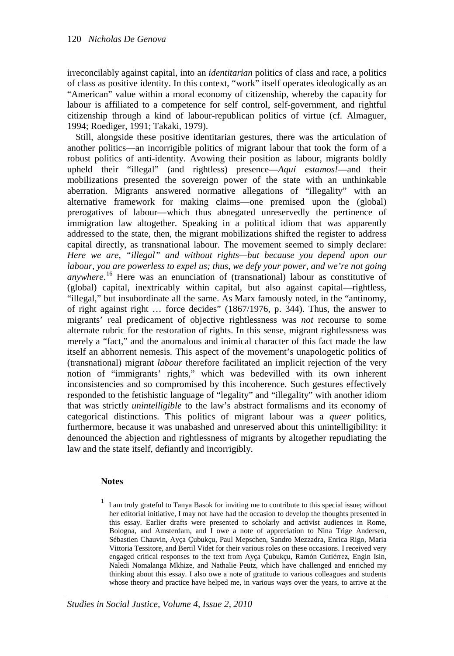irreconcilably against capital, into an *identitarian* politics of class and race, a politics of class as positive identity. In this context, "work" itself operates ideologically as an "American" value within a moral economy of citizenship, whereby the capacity for labour is affiliated to a competence for self control, self-government, and rightful citizenship through a kind of labour-republican politics of virtue (cf. Almaguer, 1994; Roediger, 1991; Takaki, 1979).

Still, alongside these positive identitarian gestures, there was the articulation of another politics—an incorrigible politics of migrant labour that took the form of a robust politics of anti-identity. Avowing their position as labour, migrants boldly upheld their "illegal" (and rightless) presence—*Aquí estamos!*—and their mobilizations presented the sovereign power of the state with an unthinkable aberration. Migrants answered normative allegations of "illegality" with an alternative framework for making claims—one premised upon the (global) prerogatives of labour—which thus abnegated unreservedly the pertinence of immigration law altogether. Speaking in a political idiom that was apparently addressed to the state, then, the migrant mobilizations shifted the register to address capital directly, as transnational labour. The movement seemed to simply declare: *Here we are, "illegal" and without rights—but because you depend upon our labour, you are powerless to expel us; thus, we defy your power, and we're not going anywhere*. [16](#page-21-8) Here was an enunciation of (transnational) labour as constitutive of (global) capital, inextricably within capital, but also against capital—rightless, "illegal," but insubordinate all the same. As Marx famously noted, in the "antinomy, of right against right … force decides" (1867/1976, p. 344). Thus, the answer to migrants' real predicament of objective rightlessness was *not* recourse to some alternate rubric for the restoration of rights. In this sense, migrant rightlessness was merely a "fact," and the anomalous and inimical character of this fact made the law itself an abhorrent nemesis. This aspect of the movement's unapologetic politics of (transnational) migrant *labour* therefore facilitated an implicit rejection of the very notion of "immigrants' rights," which was bedevilled with its own inherent inconsistencies and so compromised by this incoherence. Such gestures effectively responded to the fetishistic language of "legality" and "illegality" with another idiom that was strictly *unintelligible* to the law's abstract formalisms and its economy of categorical distinctions. This politics of migrant labour was a *queer* politics, furthermore, because it was unabashed and unreserved about this unintelligibility: it denounced the abjection and rightlessness of migrants by altogether repudiating the law and the state itself, defiantly and incorrigibly.

## **Notes**

<span id="page-19-0"></span><sup>1</sup> I am truly grateful to Tanya Basok for inviting me to contribute to this special issue; without her editorial initiative, I may not have had the occasion to develop the thoughts presented in this essay. Earlier drafts were presented to scholarly and activist audiences in Rome, Bologna, and Amsterdam, and I owe a note of appreciation to Nina Trige Andersen, Sébastien Chauvin, Ayça Çubukçu, Paul Mepschen, Sandro Mezzadra, Enrica Rigo, Maria Vittoria Tessitore, and Bertil Videt for their various roles on these occasions. I received very engaged critical responses to the text from Ayça Çubukçu, Ramón Gutiérrez, Engin Isin, Naledi Nomalanga Mkhize, and Nathalie Peutz, which have challenged and enriched my thinking about this essay. I also owe a note of gratitude to various colleagues and students whose theory and practice have helped me, in various ways over the years, to arrive at the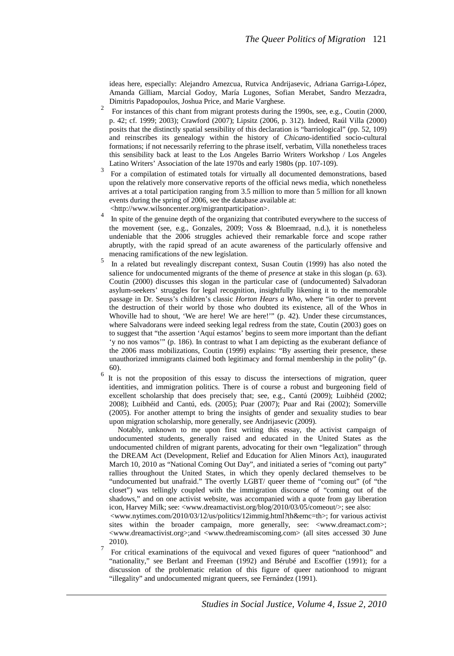ideas here, especially: Alejandro Amezcua, Rutvica Andrijasevic, Adriana Garriga-López, Amanda Gilliam, Marcial Godoy, María Lugones, Sofian Merabet, Sandro Mezzadra, Dimitris Papadopoulos, Joshua Price, and Marie Varghese. <sup>2</sup>

- <span id="page-20-0"></span> For instances of this chant from migrant protests during the 1990s, see, e.g., Coutin (2000, p. 42; cf. 1999; 2003); Crawford (2007); Lipsitz (2006, p. 312). Indeed, Raúl Villa (2000) posits that the distinctly spatial sensibility of this declaration is "barriological" (pp. 52, 109) and reinscribes its genealogy within the history of *Chicano*-identified socio-cultural formations; if not necessarily referring to the phrase itself, verbatim, Villa nonetheless traces this sensibility back at least to the Los Angeles Barrio Writers Workshop / Los Angeles
- <span id="page-20-1"></span>Latino Writers' Association of the late 1970s and early 1980s (pp. 107-109).<br><sup>3</sup> For a compilation of estimated totals for virtually all documented demonstrations, based upon the relatively more conservative reports of the official news media, which nonetheless arrives at a total participation ranging from 3.5 million to more than 5 million for all known events during the spring of 2006, see the database available at: <http://www.wilsoncenter.org/migrantparticipation>. <sup>4</sup>
- <span id="page-20-2"></span> In spite of the genuine depth of the organizing that contributed everywhere to the success of the movement (see, e.g., Gonzales, 2009; Voss & Bloemraad, n.d.), it is nonetheless undeniable that the 2006 struggles achieved their remarkable force and scope rather abruptly, with the rapid spread of an acute awareness of the particularly offensive and menacing ramifications of the new legislation.
- <span id="page-20-3"></span> In a related but revealingly discrepant context, Susan Coutin (1999) has also noted the salience for undocumented migrants of the theme of *presence* at stake in this slogan (p. 63). Coutin (2000) discusses this slogan in the particular case of (undocumented) Salvadoran asylum-seekers' struggles for legal recognition, insightfully likening it to the memorable passage in Dr. Seuss's children's classic *Horton Hears a Who*, where "in order to prevent the destruction of their world by those who doubted its existence, all of the Whos in Whoville had to shout, 'We are here! We are here!'" (p. 42). Under these circumstances, where Salvadorans were indeed seeking legal redress from the state, Coutin (2003) goes on to suggest that "the assertion 'Aquí estamos' begins to seem more important than the defiant 'y no nos vamos'" (p. 186). In contrast to what I am depicting as the exuberant defiance of the 2006 mass mobilizations, Coutin (1999) explains: "By asserting their presence, these unauthorized immigrants claimed both legitimacy and formal membership in the polity" (p. 60).<br> $\frac{6}{6}$  It is not the proposition of this essay to discuss the intersections of migration, queer
	- identities, and immigration politics. There is of course a robust and burgeoning field of excellent scholarship that does precisely that; see, e.g., Cantú (2009); Luibhéid (2002; 2008); Luibhéid and Cantú, eds. (2005); Puar (2007); Puar and Rai (2002); Somerville (2005). For another attempt to bring the insights of gender and sexuality studies to bear upon migration scholarship, more generally, see Andrijasevic (2009).

<span id="page-20-4"></span> Notably, unknown to me upon first writing this essay, the activist campaign of undocumented students, generally raised and educated in the United States as the undocumented children of migrant parents, advocating for their own "legalization" through the DREAM Act (Development, Relief and Education for Alien Minors Act), inaugurated March 10, 2010 as "National Coming Out Day", and initiated a series of "coming out party" rallies throughout the United States, in which they openly declared themselves to be "undocumented but unafraid." The overtly LGBT/ queer theme of "coming out" (of "the closet") was tellingly coupled with the immigration discourse of "coming out of the shadows," and on one activist website, was accompanied with a quote from gay liberation icon, Harvey Milk; see: <www.dreamactivist.org/blog/2010/03/05/comeout/>; see also:

 <www.nytimes.com/2010/03/12/us/politics/12immig.html?th&emc=th>; for various activist sites within the broader campaign, more generally, see: <www.dreamact.com>; <www.dreamactivist.org>;and <www.thedreamiscoming.com> (all sites accessed 30 June  $\frac{2010}{7}$ .

<span id="page-20-5"></span> For critical examinations of the equivocal and vexed figures of queer "nationhood" and "nationality," see Berlant and Freeman (1992) and Bérubé and Escoffier (1991); for a discussion of the problematic relation of this figure of queer nationhood to migrant "illegality" and undocumented migrant queers, see Fernández (1991).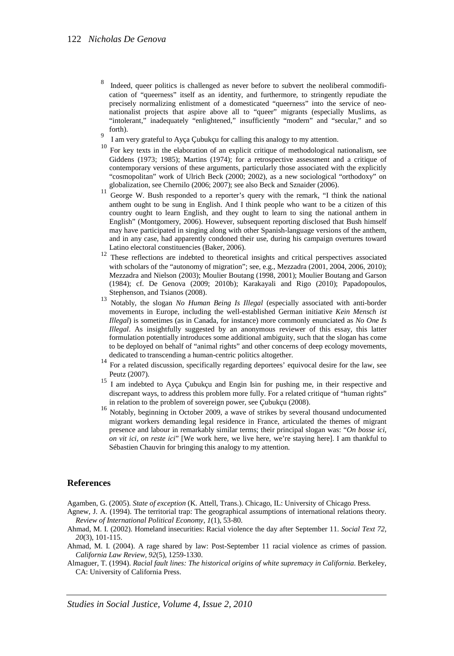- <span id="page-21-0"></span>8 Indeed, queer politics is challenged as never before to subvert the neoliberal commodification of "queerness" itself as an identity, and furthermore, to stringently repudiate the precisely normalizing enlistment of a domesticated "queerness" into the service of neonationalist projects that aspire above all to "queer" migrants (especially Muslims, as "intolerant," inadequately "enlightened," insufficiently "modern" and "secular," and so forth).<br><sup>9</sup> I am very grateful to Ayça Çubukçu for calling this analogy to my attention.
- 
- <span id="page-21-2"></span><span id="page-21-1"></span> $10$  For key texts in the elaboration of an explicit critique of methodological nationalism, see Giddens (1973; 1985); Martins (1974); for a retrospective assessment and a critique of contemporary versions of these arguments, particularly those associated with the explicitly "cosmopolitan" work of Ulrich Beck (2000; 2002), as a new sociological "orthodoxy" on
- <span id="page-21-3"></span>globalization, see Chernilo (2006; 2007); see also Beck and Sznaider (2006).<br><sup>11</sup> George W. Bush responded to a reporter's query with the remark, "I think the national anthem ought to be sung in English. And I think people who want to be a citizen of this country ought to learn English, and they ought to learn to sing the national anthem in English" (Montgomery, 2006). However, subsequent reporting disclosed that Bush himself may have participated in singing along with other Spanish-language versions of the anthem, and in any case, had apparently condoned their use, during his campaign overtures toward
- <span id="page-21-4"></span> $12$  These reflections are indebted to theoretical insights and critical perspectives associated with scholars of the "autonomy of migration"; see, e.g., Mezzadra (2001, 2004, 2006, 2010); Mezzadra and Nielson (2003); Moulier Boutang (1998, 2001); Moulier Boutang and Garson (1984); cf. De Genova (2009; 2010b); Karakayali and Rigo (2010); Papadopoulos,
- <span id="page-21-5"></span>Stephenson, and Tsianos (2008).<br><sup>13</sup> Notably, the slogan *No Human Being Is Illegal* (especially associated with anti-border movements in Europe, including the well-established German initiative *Kein Mensch ist Illegal*) is sometimes (as in Canada, for instance) more commonly enunciated as *No One Is Illegal*. As insightfully suggested by an anonymous reviewer of this essay, this latter formulation potentially introduces some additional ambiguity, such that the slogan has come to be deployed on behalf of "animal rights" and other concerns of deep ecology movements,
- <span id="page-21-6"></span>dedicated to transcending a human-centric politics altogether. <sup>14</sup> For a related discussion, specifically regarding deportees' equivocal desire for the law, see Peutz (2007). 15 I am indebted to Ayça Çubukçu and Engin Isin for pushing me, in their respective and
- <span id="page-21-7"></span>discrepant ways, to address this problem more fully. For a related critique of "human rights" in relation to the problem of sovereign power, see Çubukçu (2008).<br>Notably, beginning in October 2009, a wave of strikes by several thousand undocumented
- migrant workers demanding legal residence in France, articulated the themes of migrant presence and labour in remarkably similar terms; their principal slogan was: "*On bosse ici, on vit ici, on reste ici*" [We work here, we live here, we're staying here]. I am thankful to Sébastien Chauvin for bringing this analogy to my attention.

#### <span id="page-21-8"></span>**References**

Agamben, G. (2005). *State of exception* (K. Attell, Trans.). Chicago, IL: University of Chicago Press.

- Agnew, J. A. (1994). The territorial trap: The geographical assumptions of international relations theory. *Review of International Political Economy*, *1*(1), 53-80.
- Ahmad, M. I. (2002). Homeland insecurities: Racial violence the day after September 11. *Social Text 72, 20*(3), 101-115.
- Ahmad, M. I. (2004). A rage shared by law: Post-September 11 racial violence as crimes of passion. *California Law Review, 92*(5), 1259-1330.
- Almaguer, T. (1994). *Racial fault lines: The historical origins of white supremacy in California*. Berkeley, CA: University of California Press.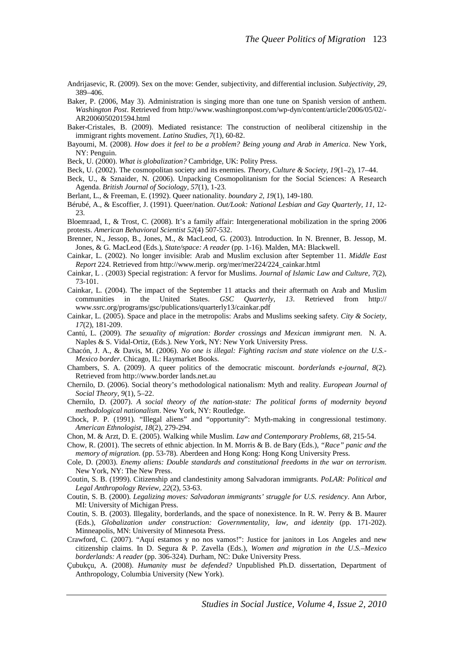- Andrijasevic, R. (2009). Sex on the move: Gender, subjectivity, and differential inclusion. *Subjectivity, 29*, 389–406.
- Baker, P. (2006, May 3). Administration is singing more than one tune on Spanish version of anthem. *Washington Post*. Retrieved from http://www.washingtonpost.com/wp-dyn/content/article/2006/05/02/- AR2006050201594.html
- Baker-Cristales, B. (2009). Mediated resistance: The construction of neoliberal citizenship in the immigrant rights movement. *Latino Studies, 7*(1), 60-82.
- Bayoumi, M. (2008). *How does it feel to be a problem? Being young and Arab in America*. New York, NY: Penguin.
- Beck, U. (2000). *What is globalization?* Cambridge, UK: Polity Press.
- Beck, U. (2002). The cosmopolitan society and its enemies. *Theory, Culture & Society, 19*(1–2), 17–44.
- Beck, U., & Sznaider, N. (2006). Unpacking Cosmopolitanism for the Social Sciences: A Research Agenda. *British Journal of Sociology, 57*(1), 1-23.
- Berlant, L., & Freeman, E. (1992). Queer nationality. *boundary 2, 19*(1), 149-180.
- Bérubé, A., & Escoffier, J. (1991). Queer/nation. *Out/Look: National Lesbian and Gay Quarterly, 11*, 12-  $23$

Bloemraad, I., & Trost, C. (2008). It's a family affair: Intergenerational mobilization in the spring 2006 protests. *American Behavioral Scientist 52*(4) 507-532.

- Brenner, N., Jessop, B., Jones, M., & MacLeod, G. (2003). Introduction. In N. Brenner, B. Jessop, M. Jones, & G. MacLeod (Eds.), *State/space: A reader* (pp. 1-16). Malden, MA: Blackwell.
- Cainkar, L. (2002). No longer invisible: Arab and Muslim exclusion after September 11. *Middle East Report* 224. Retrieved from http://www.merip. org/mer/mer224/224\_cainkar.html
- Cainkar, L . (2003) Special registration: A fervor for Muslims. *Journal of Islamic Law and Culture, 7*(2), 73-101.
- Cainkar, L. (2004). The impact of the September 11 attacks and their aftermath on Arab and Muslim communities in the United States. *GSC Quarterly, 13*. Retrieved from http:// www.ssrc.org/programs/gsc/publications/quarterly13/cainkar.pdf
- Cainkar, L. (2005). Space and place in the metropolis: Arabs and Muslims seeking safety. *City & Society, 17*(2), 181-209.
- Cantú, L. (2009). *The sexuality of migration: Border crossings and Mexican immigrant men.* N. A. Naples & S. Vidal-Ortiz, (Eds.). New York, NY: New York University Press.
- Chacón, J. A., & Davis, M. (2006). *No one is illegal: Fighting racism and state violence on the U.S.- Mexico border*. Chicago, IL: Haymarket Books.
- Chambers, S. A. (2009). A queer politics of the democratic miscount. *borderlands e-journal, 8*(2). Retrieved from http://www.border lands.net.au
- Chernilo, D. (2006). Social theory's methodological nationalism: Myth and reality. *European Journal of Social Theory, 9*(1), 5–22.
- Chernilo, D. (2007). *A social theory of the nation-state: The political forms of modernity beyond methodological nationalism*. New York, NY: Routledge.
- Chock, P. P. (1991). "Illegal aliens" and "opportunity": Myth-making in congressional testimony. *American Ethnologist, 18*(2), 279-294.
- Chon, M. & Arzt, D. E. (2005). Walking while Muslim. *Law and Contemporary Problems, 68*, 215-54.
- Chow, R. (2001). The secrets of ethnic abjection. In M. Morris & B. de Bary (Eds.), *"Race" panic and the memory of migration.* (pp. 53-78). Aberdeen and Hong Kong: Hong Kong University Press.
- Cole, D. (2003). *Enemy aliens: Double standards and constitutional freedoms in the war on terrorism*. New York, NY: The New Press.
- Coutin, S. B. (1999). Citizenship and clandestinity among Salvadoran immigrants. *PoLAR: Political and Legal Anthropology Review, 22*(2), 53-63.
- Coutin, S. B. (2000). *Legalizing moves: Salvadoran immigrants' struggle for U.S. residency*. Ann Arbor, MI: University of Michigan Press.
- Coutin, S. B. (2003). Illegality, borderlands, and the space of nonexistence. In R. W. Perry & B. Maurer (Eds.), *Globalization under construction: Governmentality, law, and identity* (pp. 171-202). Minneapolis, MN: University of Minnesota Press.
- Crawford, C. (2007). "Aquí estamos y no nos vamos!": Justice for janitors in Los Angeles and new citizenship claims. In D. Segura & P. Zavella (Eds.), *Women and migration in the U.S.–Mexico borderlands: A reader* (pp. 306-324)*.* Durham, NC: Duke University Press.
- Çubukçu, A. (2008). *Humanity must be defended?* Unpublished Ph.D. dissertation, Department of Anthropology, Columbia University (New York).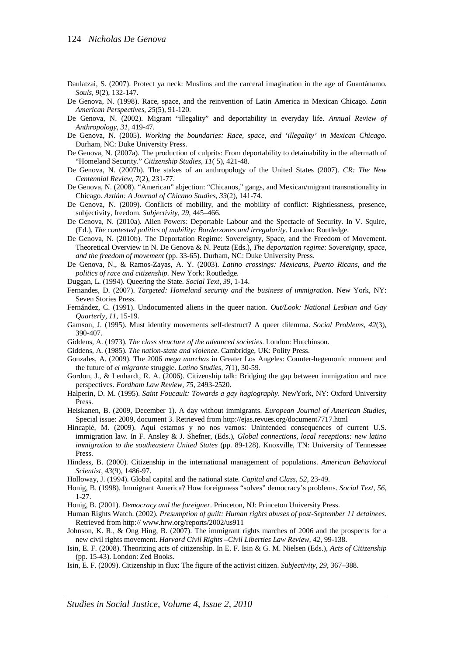- Daulatzai, S. (2007). Protect ya neck: Muslims and the carceral imagination in the age of Guantánamo. *Souls, 9*(2), 132-147.
- De Genova, N. (1998). Race, space, and the reinvention of Latin America in Mexican Chicago. *Latin American Perspectives*, *25*(5), 91-120.
- De Genova, N. (2002). Migrant "illegality" and deportability in everyday life. *Annual Review of Anthropology, 31*, 419-47.
- De Genova, N. (2005). *Working the boundaries: Race, space, and 'illegality' in Mexican Chicago.* Durham, NC: Duke University Press.
- De Genova, N. (2007a). The production of culprits: From deportability to detainability in the aftermath of "Homeland Security." *Citizenship Studies, 11*( 5), 421-48.
- De Genova, N. (2007b). The stakes of an anthropology of the United States (2007). *CR: The New Centennial Review, 7*(2), 231-77.
- De Genova, N. (2008). "American" abjection: "Chicanos," gangs, and Mexican/migrant transnationality in Chicago. *Aztlán: A Journal of Chicano Studies, 33*(2), 141-74.
- De Genova, N. (2009). Conflicts of mobility, and the mobility of conflict: Rightlessness, presence, subjectivity, freedom. *Subjectivity, 29*, 445–466.
- De Genova, N. (2010a). Alien Powers: Deportable Labour and the Spectacle of Security. In V. Squire, (Ed.), *The contested politics of mobility: Borderzones and irregularity*. London: Routledge.
- De Genova, N. (2010b). The Deportation Regime: Sovereignty, Space, and the Freedom of Movement. Theoretical Overview in N. De Genova & N. Peutz (Eds.), *The deportation regime: Sovereignty, space, and the freedom of movement* (pp. 33-65). Durham, NC: Duke University Press.
- De Genova, N., & Ramos-Zayas, A. Y. (2003). *Latino crossings: Mexicans, Puerto Ricans, and the politics of race and citizenship.* New York: Routledge.
- Duggan, L. (1994). Queering the State. *Social Text*, *39*, 1-14.
- Fernandes, D. (2007). *Targeted: Homeland security and the business of immigration*. New York, NY: Seven Stories Press.
- Fernández, C. (1991). Undocumented aliens in the queer nation. *Out/Look: National Lesbian and Gay Quarterly, 11*, 15-19.
- Gamson, J. (1995). Must identity movements self-destruct? A queer dilemma. *Social Problems, 42*(3), 390-407.
- Giddens, A. (1973). *The class structure of the advanced societies*. London: Hutchinson.
- Giddens, A. (1985). *The nation-state and violence*. Cambridge, UK: Polity Press.
- Gonzales, A. (2009). The 2006 *mega marchas* in Greater Los Angeles: Counter-hegemonic moment and the future of *el migrante* struggle. *Latino Studies, 7*(1), 30-59.
- Gordon, J., & Lenhardt, R. A. (2006). Citizenship talk: Bridging the gap between immigration and race perspectives. *Fordham Law Review, 75*, 2493-2520.
- Halperin, D. M. (1995). *Saint Foucault: Towards a gay hagiography*. NewYork, NY: Oxford University Press.
- Heiskanen, B. (2009, December 1). A day without immigrants. *European Journal of American Studies,* Special issue: 2009, document 3. Retrieved from http://ejas.revues.org/document7717.html
- Hincapié, M. (2009). Aqui estamos y no nos vamos: Unintended consequences of current U.S. immigration law. In F. Ansley & J. Shefner, (Eds.), *Global connections, local receptions: new latino immigration to the southeastern United States* (pp. 89-128). Knoxville, TN: University of Tennessee Press.
- Hindess, B. (2000). Citizenship in the international management of populations. *American Behavioral Scientist, 43*(9), 1486-97.
- Holloway, J. (1994). Global capital and the national state. *Capital and Class*, *52*, 23-49.
- Honig, B. (1998). Immigrant America? How foreignness "solves" democracy's problems. *Social Text, 56*, 1-27.
- Honig, B. (2001). *Democracy and the foreigner*. Princeton, NJ: Princeton University Press.
- Human Rights Watch. (2002). *Presumption of guilt: Human rights abuses of post-September 11 detainees*. Retrieved from http:// www.hrw.org/reports/2002/us911
- Johnson, K. R., & Ong Hing, B. (2007). The immigrant rights marches of 2006 and the prospects for a new civil rights movement. *Harvard Civil Rights –Civil Liberties Law Review*, *42*, 99-138.
- Isin, E. F. (2008). Theorizing acts of citizenship. In E. F. Isin & G. M. Nielsen (Eds.), *Acts of Citizenship* (pp. 15-43). London: Zed Books.
- Isin, E. F. (2009). Citizenship in flux: The figure of the activist citizen. *Subjectivity*, *29*, 367–388.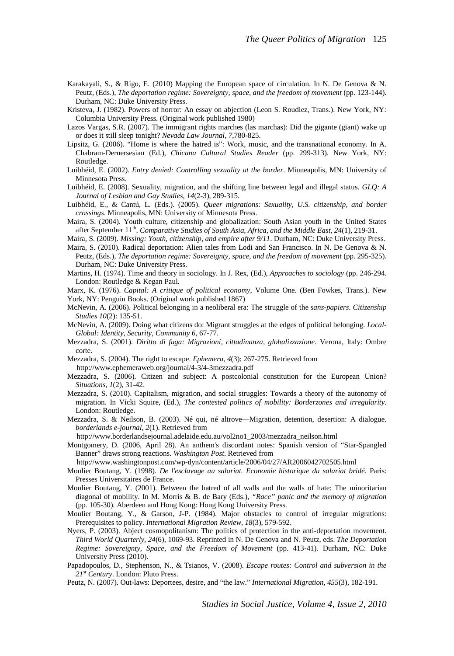- Karakayali, S., & Rigo, E. (2010) Mapping the European space of circulation. In N. De Genova & N. Peutz, (Eds.), *The deportation regime: Sovereignty, space, and the freedom of movement* (pp. 123-144). Durham, NC: Duke University Press.
- Kristeva, J. (1982). Powers of horror: An essay on abjection (Leon S. Roudiez, Trans.). New York, NY: Columbia University Press. (Original work published 1980)
- Lazos Vargas, S.R. (2007). The immigrant rights marches (las marchas): Did the gigante (giant) wake up or does it still sleep tonight? *Nevada Law Journal*, *7*,780-825.
- Lipsitz, G. (2006). "Home is where the hatred is": Work, music, and the transnational economy. In A. Chabram-Dernersesian (Ed.), *Chicana Cultural Studies Reader* (pp. 299-313). New York, NY: Routledge.
- Luibhéid, E. (2002). *Entry denied: Controlling sexuality at the border*. Minneapolis, MN: University of Minnesota Press.
- Luibhéid, E. (2008). Sexuality, migration, and the shifting line between legal and illegal status. *GLQ: A Journal of Lesbian and Gay Studies, 14*(2-3), 289-315.
- Luibhéid, E., & Cantú, L. (Eds.). (2005). *Queer migrations: Sexuality, U.S. citizenship, and border crossings*. Minneapolis, MN: University of Minnesota Press.
- Maira, S. (2004). Youth culture, citizenship and globalization: South Asian youth in the United States after September 11<sup>th</sup>. *Comparative Studies of South Asia, Africa, and the Middle East, 24*(1), 219-31.
- Maira, S. (2009). *Missing: Youth, citizenship, and empire after 9/11*. Durham, NC: Duke University Press.
- Maira, S. (2010). Radical deportation: Alien tales from Lodi and San Francisco. In N. De Genova & N. Peutz, (Eds.), *The deportation regime: Sovereignty, space, and the freedom of movement* (pp. 295-325). Durham, NC: Duke University Press.
- Martins, H. (1974). Time and theory in sociology. In J. Rex, (Ed.), *Approaches to sociology* (pp. 246-294. London: Routledge & Kegan Paul.
- Marx, K. (1976). *Capital: A critique of political economy*, Volume One. (Ben Fowkes, Trans.). New York, NY: Penguin Books. (Original work published 1867)
- McNevin, A. (2006). Political belonging in a neoliberal era: The struggle of the *sans-papiers*. *Citizenship Studies 10*(2): 135-51.
- McNevin, A. (2009). Doing what citizens do: Migrant struggles at the edges of political belonging. *Local-Global: Identity, Security, Community 6,* 67-77.
- Mezzadra, S. (2001). *Diritto di fuga: Migrazioni, cittadinanza, globalizzazione*. Verona, Italy: Ombre corte.
- Mezzadra, S. (2004). The right to escape. *Ephemera, 4*(3): 267-275. Retrieved from

http://www.ephemeraweb.org/journal/4-3/4-3mezzadra.pdf

- Mezzadra, S. (2006). Citizen and subject: A postcolonial constitution for the European Union? *Situations, 1*(2), 31-42.
- Mezzadra, S. (2010). Capitalism, migration, and social struggles: Towards a theory of the autonomy of migration. In Vicki Squire, (Ed.), *The contested politics of mobility: Borderzones and irregularity.*  London: Routledge.
- Mezzadra, S. & Neilson, B. (2003). Né qui, né altrove—Migration, detention, desertion: A dialogue. *borderlands e-journal*, *2*(1). Retrieved from
- http://www.borderlandsejournal.adelaide.edu.au/vol2no1\_2003/mezzadra\_neilson.html
- Montgomery, D. (2006, April 28). An anthem's discordant notes: Spanish version of "Star-Spangled Banner" draws strong reactions. *Washington Post*. Retrieved from
- http://www.washingtonpost.com/wp-dyn/content/article/2006/04/27/AR2006042702505.html
- Moulier Boutang, Y. (1998). *De l'esclavage au salariat. Economie historique du salariat bridé*. Paris: Presses Universitaires de France.
- Moulier Boutang, Y. (2001). Between the hatred of all walls and the walls of hate: The minoritarian diagonal of mobility. In M. Morris & B. de Bary (Eds.), *"Race" panic and the memory of migration* (pp. 105-30)*.* Aberdeen and Hong Kong: Hong Kong University Press.
- Moulier Boutang, Y., & Garson, J-P. (1984). Major obstacles to control of irregular migrations: Prerequisites to policy. *International Migration Review*, *18*(3), 579-592.
- Nyers, P. (2003). Abject cosmopolitanism: The politics of protection in the anti-deportation movement. *Third World Quarterly, 24*(6), 1069-93. Reprinted in N. De Genova and N. Peutz, eds. *The Deportation Regime: Sovereignty, Space, and the Freedom of Movement* (pp. 413-41). Durham, NC: Duke University Press (2010).
- Papadopoulos, D., Stephenson, N., & Tsianos, V. (2008). *Escape routes: Control and subversion in the 21st Century*. London: Pluto Press.
- Peutz, N. (2007). Out-laws: Deportees, desire, and "the law." *International Migration, 455*(3), 182-191.